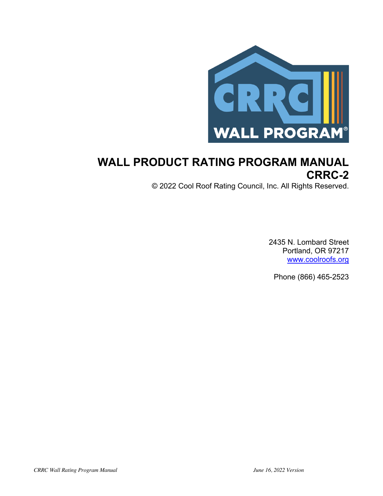

# **WALL PRODUCT RATING PROGRAM MANUAL CRRC-2**

© 2022 Cool Roof Rating Council, Inc. All Rights Reserved.

2435 N. Lombard Street Portland, OR 97217 www.coolroofs.org

Phone (866) 465-2523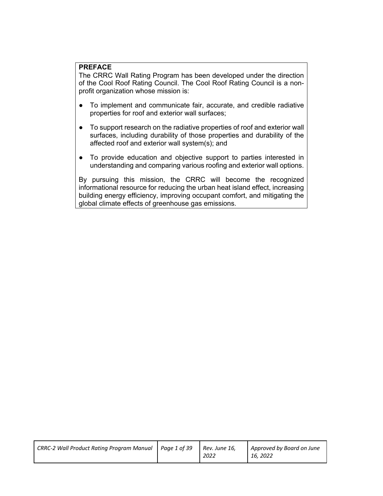#### **PREFACE**

The CRRC Wall Rating Program has been developed under the direction of the Cool Roof Rating Council. The Cool Roof Rating Council is a nonprofit organization whose mission is:

- To implement and communicate fair, accurate, and credible radiative properties for roof and exterior wall surfaces;
- To support research on the radiative properties of roof and exterior wall surfaces, including durability of those properties and durability of the affected roof and exterior wall system(s); and
- To provide education and objective support to parties interested in understanding and comparing various roofing and exterior wall options.

By pursuing this mission, the CRRC will become the recognized informational resource for reducing the urban heat island effect, increasing building energy efficiency, improving occupant comfort, and mitigating the global climate effects of greenhouse gas emissions.

| Approved by Board on June |
|---------------------------|
|                           |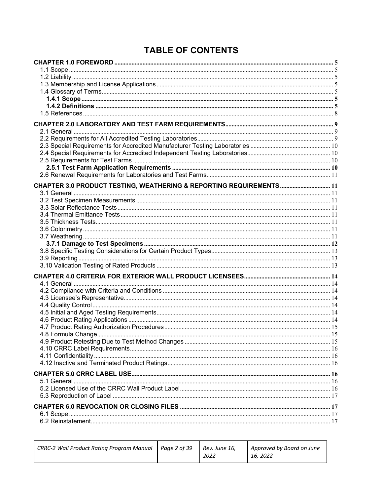# **TABLE OF CONTENTS**

| CHAPTER 3.0 PRODUCT TESTING, WEATHERING & REPORTING REQUIREMENTS  11 |  |
|----------------------------------------------------------------------|--|
|                                                                      |  |
|                                                                      |  |
|                                                                      |  |
|                                                                      |  |
|                                                                      |  |
|                                                                      |  |
|                                                                      |  |
|                                                                      |  |
|                                                                      |  |
|                                                                      |  |
|                                                                      |  |
|                                                                      |  |
|                                                                      |  |
|                                                                      |  |
|                                                                      |  |
|                                                                      |  |
|                                                                      |  |
|                                                                      |  |
|                                                                      |  |
|                                                                      |  |
|                                                                      |  |
|                                                                      |  |
|                                                                      |  |
|                                                                      |  |
|                                                                      |  |
|                                                                      |  |
|                                                                      |  |
|                                                                      |  |
|                                                                      |  |
|                                                                      |  |
|                                                                      |  |
|                                                                      |  |

| CRRC-2 Wall Product Rating Program Manual   Page 2 of 39 | Rev. June 16, | Approved by Board on June |
|----------------------------------------------------------|---------------|---------------------------|
|                                                          | 2022          | 16, 2022                  |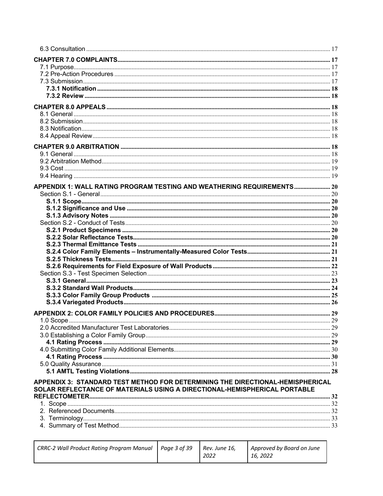| APPENDIX 1: WALL RATING PROGRAM TESTING AND WEATHERING REQUIREMENTS 20                                                                                      |  |
|-------------------------------------------------------------------------------------------------------------------------------------------------------------|--|
|                                                                                                                                                             |  |
|                                                                                                                                                             |  |
|                                                                                                                                                             |  |
|                                                                                                                                                             |  |
|                                                                                                                                                             |  |
|                                                                                                                                                             |  |
|                                                                                                                                                             |  |
|                                                                                                                                                             |  |
|                                                                                                                                                             |  |
|                                                                                                                                                             |  |
|                                                                                                                                                             |  |
|                                                                                                                                                             |  |
|                                                                                                                                                             |  |
|                                                                                                                                                             |  |
|                                                                                                                                                             |  |
|                                                                                                                                                             |  |
|                                                                                                                                                             |  |
|                                                                                                                                                             |  |
|                                                                                                                                                             |  |
|                                                                                                                                                             |  |
|                                                                                                                                                             |  |
|                                                                                                                                                             |  |
|                                                                                                                                                             |  |
| APPENDIX 3: STANDARD TEST METHOD FOR DETERMINING THE DIRECTIONAL-HEMISPHERICAL<br>SOLAR REFLECTANCE OF MATERIALS USING A DIRECTIONAL-HEMISPHERICAL PORTABLE |  |
|                                                                                                                                                             |  |
|                                                                                                                                                             |  |
|                                                                                                                                                             |  |
|                                                                                                                                                             |  |
|                                                                                                                                                             |  |

| CRRC-2 Wall Product Rating Program Manual   Page 3 of 39 | Rev. June 16.<br>2022 | Approved by Board on June<br>16, 2022 |
|----------------------------------------------------------|-----------------------|---------------------------------------|
|                                                          |                       |                                       |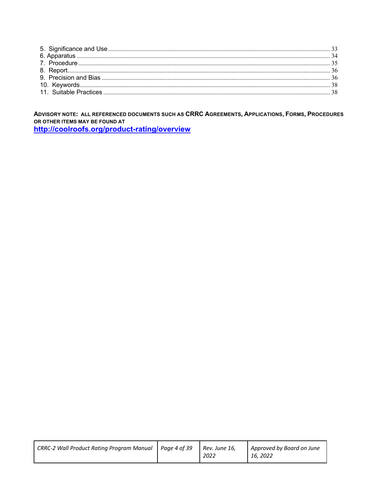ADVISORY NOTE: ALL REFERENCED DOCUMENTS SUCH AS CRRC AGREEMENTS, APPLICATIONS, FORMS, PROCEDURES OR OTHER ITEMS MAY BE FOUND AT

http://coolroofs.org/product-rating/overview

| $\vert$ CRRC-2 Wall Product Rating Program Manual $\vert$ Page 4 of 39 Rev. June 16, | 2022 | Approved by Board on June<br>16.2022 |
|--------------------------------------------------------------------------------------|------|--------------------------------------|
|--------------------------------------------------------------------------------------|------|--------------------------------------|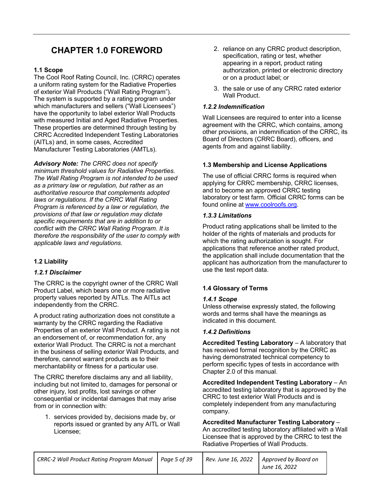## **CHAPTER 1.0 FOREWORD**

#### **1.1 Scope**

The Cool Roof Rating Council, Inc. (CRRC) operates a uniform rating system for the Radiative Properties of exterior Wall Products ("Wall Rating Program"). The system is supported by a rating program under which manufacturers and sellers ("Wall Licensees") have the opportunity to label exterior Wall Products with measured Initial and Aged Radiative Properties. These properties are determined through testing by CRRC Accredited Independent Testing Laboratories (AITLs) and, in some cases, Accredited Manufacturer Testing Laboratories (AMTLs).

*Advisory Note: The CRRC does not specify minimum threshold values for Radiative Properties. The Wall Rating Program is not intended to be used as a primary law or regulation, but rather as an authoritative resource that complements adopted laws or regulations. If the CRRC Wall Rating Program is referenced by a law or regulation, the provisions of that law or regulation may dictate specific requirements that are in addition to or conflict with the CRRC Wall Rating Program. It is therefore the responsibility of the user to comply with applicable laws and regulations.* 

#### **1.2 Liability**

#### *1.2.1 Disclaimer*

The CRRC is the copyright owner of the CRRC Wall Product Label, which bears one or more radiative property values reported by AITLs. The AITLs act independently from the CRRC.

A product rating authorization does not constitute a warranty by the CRRC regarding the Radiative Properties of an exterior Wall Product. A rating is not an endorsement of, or recommendation for, any exterior Wall Product. The CRRC is not a merchant in the business of selling exterior Wall Products, and therefore, cannot warrant products as to their merchantability or fitness for a particular use.

The CRRC therefore disclaims any and all liability, including but not limited to, damages for personal or other injury, lost profits, lost savings or other consequential or incidental damages that may arise from or in connection with:

1. services provided by, decisions made by, or reports issued or granted by any AITL or Wall Licensee;

- 2. reliance on any CRRC product description, specification, rating or test, whether appearing in a report, product rating authorization, printed or electronic directory or on a product label; or
- 3. the sale or use of any CRRC rated exterior Wall Product.

#### *1.2.2 Indemnification*

Wall Licensees are required to enter into a license agreement with the CRRC, which contains, among other provisions, an indemnification of the CRRC, its Board of Directors (CRRC Board), officers, and agents from and against liability.

#### **1.3 Membership and License Applications**

The use of official CRRC forms is required when applying for CRRC membership, CRRC licenses, and to become an approved CRRC testing laboratory or test farm. Official CRRC forms can be found online at www.coolroofs.org.

#### *1.3.3 Limitations*

Product rating applications shall be limited to the holder of the rights of materials and products for which the rating authorization is sought. For applications that reference another rated product, the application shall include documentation that the applicant has authorization from the manufacturer to use the test report data.

#### **1.4 Glossary of Terms**

#### *1.4.1 Scope*

Unless otherwise expressly stated, the following words and terms shall have the meanings as indicated in this document.

#### *1.4.2 Definitions*

**Accredited Testing Laboratory** – A laboratory that has received formal recognition by the CRRC as having demonstrated technical competency to perform specific types of tests in accordance with Chapter 2.0 of this manual.

**Accredited Independent Testing Laboratory** – An accredited testing laboratory that is approved by the CRRC to test exterior Wall Products and is completely independent from any manufacturing company.

**Accredited Manufacturer Testing Laboratory** – An accredited testing laboratory affiliated with a Wall Licensee that is approved by the CRRC to test the Radiative Properties of Wall Products.

| CRRC-2 Wall Product Rating Program Manual   Page 5 of 39 |  | Rev. June 16, 2022   Approved by Board on |
|----------------------------------------------------------|--|-------------------------------------------|
|                                                          |  | June 16, 2022                             |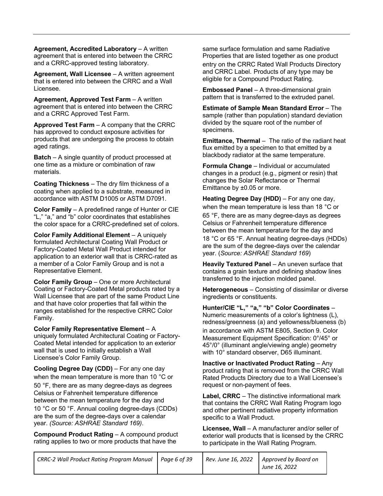**Agreement, Accredited Laboratory** – A written agreement that is entered into between the CRRC and a CRRC-approved testing laboratory.

**Agreement, Wall Licensee** – A written agreement that is entered into between the CRRC and a Wall Licensee.

**Agreement, Approved Test Farm - A written** agreement that is entered into between the CRRC and a CRRC Approved Test Farm.

**Approved Test Farm** – A company that the CRRC has approved to conduct exposure activities for products that are undergoing the process to obtain aged ratings.

**Batch** – A single quantity of product processed at one time as a mixture or combination of raw materials.

**Coating Thickness** – The dry film thickness of a coating when applied to a substrate, measured in accordance with ASTM D1005 or ASTM D7091.

**Color Family** – A predefined range of Hunter or CIE "L," "a," and "b" color coordinates that establishes the color space for a CRRC-predefined set of colors.

**Color Family Additional Element** – A uniquely formulated Architectural Coating Wall Product or Factory-Coated Metal Wall Product intended for application to an exterior wall that is CRRC-rated as a member of a Color Family Group and is not a Representative Element.

**Color Family Group** – One or more Architectural Coating or Factory-Coated Metal products rated by a Wall Licensee that are part of the same Product Line and that have color properties that fall within the ranges established for the respective CRRC Color Family.

**Color Family Representative Element** – A uniquely formulated Architectural Coating or Factory-Coated Metal intended for application to an exterior wall that is used to initially establish a Wall Licensee's Color Family Group.

**Cooling Degree Day (CDD)** – For any one day when the mean temperature is more than 10 °C or

50 °F, there are as many degree-days as degrees Celsius or Fahrenheit temperature difference between the mean temperature for the day and

10 °C or 50 °F. Annual cooling degree-days (CDDs) are the sum of the degree-days over a calendar year. *(Source: ASHRAE Standard 169)*.

**Compound Product Rating – A compound product** rating applies to two or more products that have the

same surface formulation and same Radiative Properties that are listed together as one product entry on the CRRC Rated Wall Products Directory and CRRC Label. Products of any type may be eligible for a Compound Product Rating.

**Embossed Panel** – A three-dimensional grain pattern that is transferred to the extruded panel.

**Estimate of Sample Mean Standard Error** – The sample (rather than population) standard deviation divided by the square root of the number of specimens.

**Emittance, Thermal** – The ratio of the radiant heat flux emitted by a specimen to that emitted by a blackbody radiator at the same temperature.

**Formula Change** – Individual or accumulated changes in a product (e.g., pigment or resin) that changes the Solar Reflectance or Thermal Emittance by ±0.05 or more.

**Heating Degree Day (HDD)** – For any one day, when the mean temperature is less than 18 °C or 65 °F, there are as many degree-days as degrees Celsius or Fahrenheit temperature difference between the mean temperature for the day and 18 °C or 65 °F. Annual heating degree-days (HDDs) are the sum of the degree-days over the calendar year. (*Source: ASHRAE Standard 169*)

**Heavily Textured Panel** – An uneven surface that contains a grain texture and defining shadow lines transferred to the injection molded panel.

**Heterogeneous** – Consisting of dissimilar or diverse ingredients or constituents.

**Hunter/CIE "L," "a," "b" Color Coordinates** – Numeric measurements of a color's lightness (L), redness/greenness (a) and yellowness/blueness (b) in accordance with ASTM E805, Section 9. Color Measurement Equipment Specification: 0°/45° or 45°/0° (illuminant angle/viewing angle) geometry with 10° standard observer, D65 illuminant.

**Inactive or Inactivated Product Rating** – Any product rating that is removed from the CRRC Wall Rated Products Directory due to a Wall Licensee's request or non-payment of fees.

**Label, CRRC** – The distinctive informational mark that contains the CRRC Wall Rating Program logo and other pertinent radiative property information specific to a Wall Product.

**Licensee, Wall** – A manufacturer and/or seller of exterior wall products that is licensed by the CRRC to participate in the Wall Rating Program.

| CRRC-2 Wall Product Rating Program Manual   Page 6 of 39 |  | $\mid$ Rev. June 16, 2022 $\mid$ Approved by Board on |
|----------------------------------------------------------|--|-------------------------------------------------------|
|                                                          |  | June 16, 2022                                         |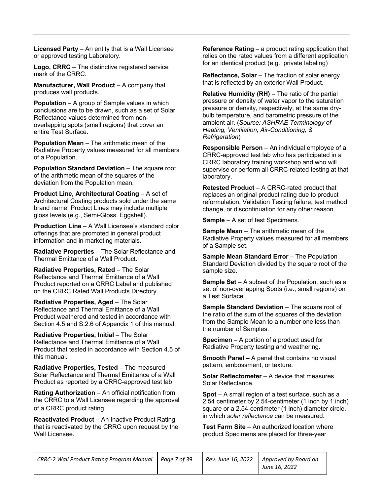**Licensed Party** – An entity that is a Wall Licensee or approved testing Laboratory.

**Logo, CRRC** – The distinctive registered service mark of the CRRC.

**Manufacturer, Wall Product** – A company that produces wall products.

**Population** – A group of Sample values in which conclusions are to be drawn, such as a set of Solar Reflectance values determined from nonoverlapping spots (small regions) that cover an entire Test Surface.

**Population Mean** – The arithmetic mean of the Radiative Property values measured for all members of a Population.

**Population Standard Deviation – The square root** of the arithmetic mean of the squares of the deviation from the Population mean.

**Product Line, Architectural Coating** – A set of Architectural Coating products sold under the same brand name. Product Lines may include multiple gloss levels (e.g., Semi-Gloss, Eggshell).

**Production Line** – A Wall Licensee's standard color offerings that are promoted in general product information and in marketing materials.

**Radiative Properties** – The Solar Reflectance and Thermal Emittance of a Wall Product.

**Radiative Properties, Rated** – The Solar Reflectance and Thermal Emittance of a Wall Product reported on a CRRC Label and published on the CRRC Rated Wall Products Directory.

**Radiative Properties, Aged – The Solar** Reflectance and Thermal Emittance of a Wall Product weathered and tested in accordance with Section 4.5 and S.2.6 of Appendix 1 of this manual.

**Radiative Properties, Initial** – The Solar Reflectance and Thermal Emittance of a Wall Product that tested in accordance with Section 4.5 of this manual.

**Radiative Properties, Tested** – The measured Solar Reflectance and Thermal Emittance of a Wall Product as reported by a CRRC-approved test lab.

**Rating Authorization** – An official notification from the CRRC to a Wall Licensee regarding the approval of a CRRC product rating.

**Reactivated Product** – An Inactive Product Rating that is reactivated by the CRRC upon request by the Wall Licensee.

**Reference Rating** – a product rating application that relies on the rated values from a different application for an identical product (e.g., private labeling)

**Reflectance, Solar** – The fraction of solar energy that is reflected by an exterior Wall Product.

**Relative Humidity (RH)** – The ratio of the partial pressure or density of water vapor to the saturation pressure or density, respectively, at the same drybulb temperature, and barometric pressure of the ambient air. (*Source: ASHRAE Terminology of Heating, Ventilation, Air-Conditioning, & Refrigeration*)

**Responsible Person** – An individual employee of a CRRC-approved test lab who has participated in a CRRC laboratory training workshop and who will supervise or perform all CRRC-related testing at that laboratory.

**Retested Product** – A CRRC-rated product that replaces an original product rating due to product reformulation, Validation Testing failure, test method change, or discontinuation for any other reason.

**Sample** – A set of test Specimens.

**Sample Mean** – The arithmetic mean of the Radiative Property values measured for all members of a Sample set.

**Sample Mean Standard Error** – The Population Standard Deviation divided by the square root of the sample size.

**Sample Set** – A subset of the Population, such as a set of non-overlapping Spots (i.e., small regions) on a Test Surface.

**Sample Standard Deviation – The square root of** the ratio of the sum of the squares of the deviation from the Sample Mean to a number one less than the number of Samples.

**Specimen** – A portion of a product used for Radiative Property testing and weathering.

**Smooth Panel –** A panel that contains no visual pattern, embossment, or texture.

**Solar Reflectometer** – A device that measures Solar Reflectance.

**Spot** – A small region of a test surface, such as a 2.54 centimeter by 2.54-centimeter (1 inch by 1 inch) square or a 2.54-centimeter (1 inch) diameter circle, in which *solar reflectance* can be measured.

**Test Farm Site** – An authorized location where product Specimens are placed for three-year

| CRRC-2 Wall Product Rating Program Manual   Page 7 of 39 |  | Rev. June 16, 2022   Approved by Board on |
|----------------------------------------------------------|--|-------------------------------------------|
|                                                          |  | June 16, 2022                             |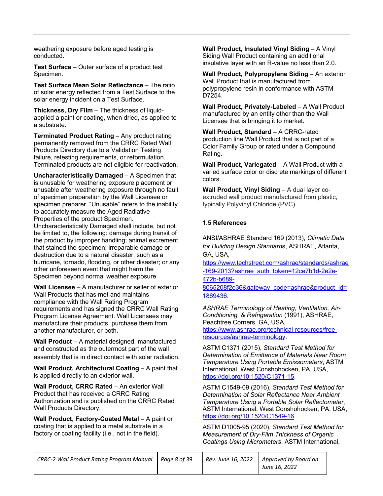weathering exposure before aged testing is conducted.

**Test Surface** – Outer surface of a product test Specimen.

**Test Surface Mean Solar Reflectance - The ratio** of solar energy reflected from a Test Surface to the solar energy incident on a Test Surface.

**Thickness, Dry Film** – The thickness of liquidapplied a paint or coating, when dried, as applied to a substrate.

**Terminated Product Rating** – Any product rating permanently removed from the CRRC Rated Wall Products Directory due to a Validation Testing failure, retesting requirements, or reformulation. Terminated products are not eligible for reactivation.

**Uncharacteristically Damaged** – A Specimen that is unusable for weathering exposure placement or unusable after weathering exposure through no fault of specimen preparation by the Wall Licensee or specimen preparer. "Unusable" refers to the inability to accurately measure the Aged Radiative Properties of the product Specimen.

Uncharacteristically Damaged shall include, but not be limited to, the following: damage during transit of the product by improper handling; animal excrement that stained the specimen; irreparable damage or destruction due to a natural disaster, such as a hurricane, tornado, flooding, or other disaster; or any other unforeseen event that might harm the Specimen beyond normal weather exposure.

**Wall Licensee** – A manufacturer or seller of exterior Wall Products that has met and maintains compliance with the Wall Rating Program requirements and has signed the CRRC Wall Rating Program License Agreement. Wall Licensees may manufacture their products, purchase them from another manufacturer, or both.

**Wall Product** – A material designed, manufactured and constructed as the outermost part of the wall assembly that is in direct contact with solar radiation.

**Wall Product, Architectural Coating - A paint that** is applied directly to an exterior wall.

**Wall Product, CRRC Rated – An exterior Wall** Product that has received a CRRC Rating Authorization and is published on the CRRC Rated Wall Products Directory.

**Wall Product, Factory-Coated Metal - A paint or** coating that is applied to a metal substrate in a factory or coating facility (i.e., not in the field).

**Wall Product, Insulated Vinyl Siding - A Vinyl** Siding Wall Product containing an additional insulative layer with an R-value no less than 2.0.

**Wall Product, Polypropylene Siding – An exterior** Wall Product that is manufactured from polypropylene resin in conformance with ASTM D7254.

**Wall Product, Privately-Labeled** – A Wall Product manufactured by an entity other than the Wall Licensee that is bringing it to market.

**Wall Product, Standard** – A CRRC-rated production line Wall Product that is not part of a Color Family Group or rated under a Compound Rating.

**Wall Product, Variegated** – A Wall Product with a varied surface color or discrete markings of different colors.

**Wall Product, Vinyl Siding** – A dual layer coextruded wall product manufactured from plastic, typically Polyvinyl Chloride (PVC).

#### **1.5 References**

ANSI/ASHRAE Standard 169 (2013), *Climatic Data for Building Design Standard*s, ASHRAE, Atlanta, GA, USA,

https://www.techstreet.com/ashrae/standards/ashrae -169-2013?ashrae\_auth\_token=12ce7b1d-2e2e-472b-b689-

8065208f2e36&gateway\_code=ashrae&product\_id= 1869436.

*ASHRAE Terminology of Heating, Ventilation, Air-Conditioning, & Refrigeration* (1991), ASHRAE, Peachtree Corners, GA, USA, https://www.ashrae.org/technical-resources/freeresources/ashrae-terminology.

ASTM C1371 (2015), *Standard Test Method for Determination of Emittance of Materials Near Room Temperature Using Portable Emissometers*, ASTM International, West Conshohocken, PA, USA, https://doi.org/10.1520/C1371-15.

ASTM C1549-09 (2016), *Standard Test Method for Determination of Solar Reflectance Near Ambient Temperature Using a Portable Solar Reflectometer*, ASTM International, West Conshohocken, PA, USA, https://doi.org/10.1520/C1549-16.

ASTM D1005-95 (2020), *Standard Test Method for Measurement of Dry-Film Thickness of Organic Coatings Using Micrometers*, ASTM International,

| CRRC-2 Wall Product Rating Program Manual   Page 8 of 39 |  | Rev. June 16, 2022   Approved by Board on<br>June 16, 2022 |
|----------------------------------------------------------|--|------------------------------------------------------------|
|                                                          |  |                                                            |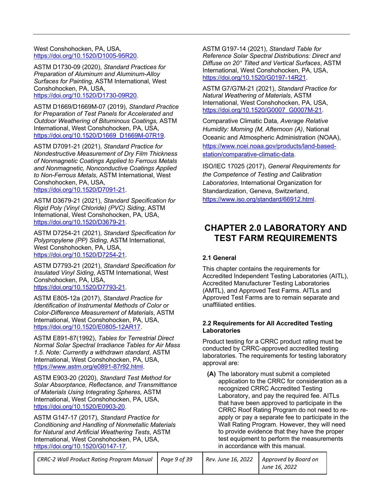West Conshohocken, PA, USA, https://doi.org/10.1520/D1005-95R20.

ASTM D1730-09 (2020), *Standard Practices for Preparation of Aluminum and Aluminum-Alloy Surfaces for Painting,* ASTM International, West Conshohocken, PA, USA, https://doi.org/10.1520/D1730-09R20.

ASTM D1669/D1669M-07 (2019), *Standard Practice for Preparation of Test Panels for Accelerated and Outdoor Weathering of Bituminous Coatings,* ASTM International, West Conshohocken, PA, USA, https://doi.org/10.1520/D1669\_D1669M-07R19.

ASTM D7091-21 (2021), *Standard Practice for Nondestructive Measurement of Dry Film Thickness of Nonmagnetic Coatings Applied to Ferrous Metals and Nonmagnetic, Nonconductive Coatings Applied to Non-Ferrous Metals*, ASTM International, West Conshohocken, PA, USA, https://doi.org/10.1520/D7091-21.

ASTM D3679-21 (2021), *Standard Specification for Rigid Poly (Vinyl Chloride) (PVC) Siding*, ASTM International, West Conshohocken, PA, USA, https://doi.org/10.1520/D3679-21.

ASTM D7254-21 (2021), *Standard Specification for Polypropylene (PP) Siding*, ASTM International, West Conshohocken, PA, USA, https://doi.org/10.1520/D7254-21.

ASTM D7793-21 (2021), *Standard Specification for Insulated Vinyl Siding*, ASTM International, West Conshohocken, PA, USA, https://doi.org/10.1520/D7793-21.

ASTM E805-12a (2017), *Standard Practice for Identification of Instrumental Methods of Color or Color-Difference Measurement of Materials*, ASTM International, West Conshohocken, PA, USA, https://doi.org/10.1520/E0805-12AR17.

ASTM E891-87(1992), *Tables for Terrestrial Direct Normal Solar Spectral Irradiance Tables for Air Mass 1.5. Note: Currently a withdrawn standard*, ASTM International, West Conshohocken, PA, USA, https://www.astm.org/e0891-87r92.html.

ASTM E903-20 (2020), *Standard Test Method for Solar Absorptance, Reflectance, and Transmittance of Materials Using Integrating Spheres,* ASTM International, West Conshohocken, PA, USA, https://doi.org/10.1520/E0903-20.

ASTM G147-17 (2017), *Standard Practice for Conditioning and Handling of Nonmetallic Materials for Natural and Artificial Weathering Tests*, ASTM International, West Conshohocken, PA, USA, https://doi.org/10.1520/G0147-17.

ASTM G197-14 (2021), *Standard Table for Reference Solar Spectral Distributions: Direct and Diffuse on 20° Tilted and Vertical Surfaces*, ASTM International, West Conshohocken, PA, USA, https://doi.org/10.1520/G0197-14R21.

ASTM G7/G7M-21 (2021), *Standard Practice for Natural Weathering of Materials*, ASTM International, West Conshohocken, PA, USA, https://doi.org/10.1520/G0007\_G0007M-21.

Comparative Climatic Data*, Average Relative Humidity: Morning (M, Afternoon (A)*, National Oceanic and Atmospheric Administration (NOAA), https://www.ncei.noaa.gov/products/land-basedstation/comparative-climatic-data.

ISO/IEC 17025 (2017), *General Requirements for the Competence of Testing and Calibration Laboratories*, International Organization for Standardization, Geneva, Switzerland, https://www.iso.org/standard/66912.html.

### **CHAPTER 2.0 LABORATORY AND TEST FARM REQUIREMENTS**

#### **2.1 General**

This chapter contains the requirements for Accredited Independent Testing Laboratories (AITL), Accredited Manufacturer Testing Laboratories (AMTL), and Approved Test Farms. AITLs and Approved Test Farms are to remain separate and unaffiliated entities.

#### **2.2 Requirements for All Accredited Testing Laboratories**

Product testing for a CRRC product rating must be conducted by CRRC-approved accredited testing laboratories. The requirements for testing laboratory approval are:

**(A)** The laboratory must submit a completed application to the CRRC for consideration as a recognized CRRC Accredited Testing Laboratory, and pay the required fee. AITLs that have been approved to participate in the CRRC Roof Rating Program do not need to reapply or pay a separate fee to participate in the Wall Rating Program. However, they will need to provide evidence that they have the proper test equipment to perform the measurements in accordance with this manual.

| CRRC-2 Wall Product Rating Program Manual   Page 9 of 39 | Rev. June 16, 2022 | Approved by Board on<br>June 16, 2022 |
|----------------------------------------------------------|--------------------|---------------------------------------|
|                                                          |                    |                                       |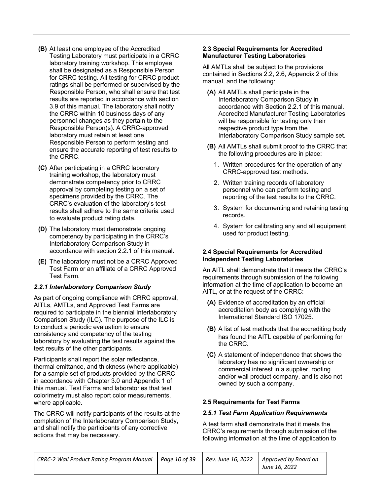- **(B)** At least one employee of the Accredited Testing Laboratory must participate in a CRRC laboratory training workshop. This employee shall be designated as a Responsible Person for CRRC testing. All testing for CRRC product ratings shall be performed or supervised by the Responsible Person, who shall ensure that test results are reported in accordance with section 3.9 of this manual. The laboratory shall notify the CRRC within 10 business days of any personnel changes as they pertain to the Responsible Person(s). A CRRC-approved laboratory must retain at least one Responsible Person to perform testing and ensure the accurate reporting of test results to the CRRC.
- **(C)** After participating in a CRRC laboratory training workshop, the laboratory must demonstrate competency prior to CRRC approval by completing testing on a set of specimens provided by the CRRC. The CRRC's evaluation of the laboratory's test results shall adhere to the same criteria used to evaluate product rating data.
- **(D)** The laboratory must demonstrate ongoing competency by participating in the CRRC's Interlaboratory Comparison Study in accordance with section 2.2.1 of this manual.
- **(E)** The laboratory must not be a CRRC Approved Test Farm or an affiliate of a CRRC Approved Test Farm.

#### *2.2.1 Interlaboratory Comparison Study*

As part of ongoing compliance with CRRC approval, AITLs, AMTLs, and Approved Test Farms are required to participate in the biennial Interlaboratory Comparison Study (ILC). The purpose of the ILC is to conduct a periodic evaluation to ensure consistency and competency of the testing laboratory by evaluating the test results against the test results of the other participants.

Participants shall report the solar reflectance, thermal emittance, and thickness (where applicable) for a sample set of products provided by the CRRC in accordance with Chapter 3.0 and Appendix 1 of this manual. Test Farms and laboratories that test colorimetry must also report color measurements, where applicable.

The CRRC will notify participants of the results at the completion of the Interlaboratory Comparison Study, and shall notify the participants of any corrective actions that may be necessary.

#### **2.3 Special Requirements for Accredited Manufacturer Testing Laboratories**

All AMTLs shall be subject to the provisions contained in Sections 2.2, 2.6, Appendix 2 of this manual, and the following:

- **(A)** All AMTLs shall participate in the Interlaboratory Comparison Study in accordance with Section 2.2.1 of this manual. Accredited Manufacturer Testing Laboratories will be responsible for testing only their respective product type from the Interlaboratory Comparison Study sample set.
- **(B)** All AMTLs shall submit proof to the CRRC that the following procedures are in place:
	- 1. Written procedures for the operation of any CRRC-approved test methods.
	- 2. Written training records of laboratory personnel who can perform testing and reporting of the test results to the CRRC.
	- 3. System for documenting and retaining testing records.
	- 4. System for calibrating any and all equipment used for product testing.

#### **2.4 Special Requirements for Accredited Independent Testing Laboratories**

An AITL shall demonstrate that it meets the CRRC's requirements through submission of the following information at the time of application to become an AITL, or at the request of the CRRC:

- **(A)** Evidence of accreditation by an official accreditation body as complying with the International Standard ISO 17025.
- **(B)** A list of test methods that the accrediting body has found the AITL capable of performing for the CRRC.
- **(C)** A statement of independence that shows the laboratory has no significant ownership or commercial interest in a supplier, roofing and/or wall product company, and is also not owned by such a company.

#### **2.5 Requirements for Test Farms**

#### *2.5.1 Test Farm Application Requirements*

A test farm shall demonstrate that it meets the CRRC's requirements through submission of the following information at the time of application to

| CRRC-2 Wall Product Rating Program Manual   Page 10 of 39 |  | Rev. June 16, 2022   Approved by Board on |
|-----------------------------------------------------------|--|-------------------------------------------|
|                                                           |  | June 16, 2022                             |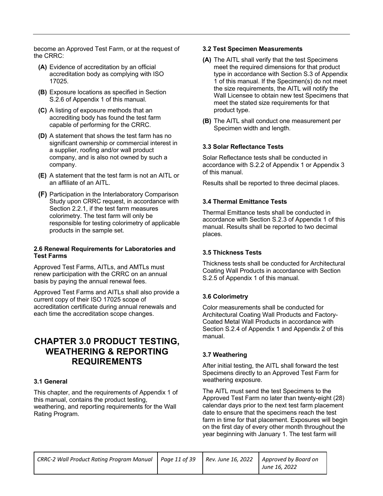become an Approved Test Farm, or at the request of the CRRC:

- **(A)** Evidence of accreditation by an official accreditation body as complying with ISO 17025.
- **(B)** Exposure locations as specified in Section S.2.6 of Appendix 1 of this manual.
- **(C)** A listing of exposure methods that an accrediting body has found the test farm capable of performing for the CRRC.
- **(D)** A statement that shows the test farm has no significant ownership or commercial interest in a supplier, roofing and/or wall product company, and is also not owned by such a company.
- **(E)** A statement that the test farm is not an AITL or an affiliate of an AITL.
- **(F)** Participation in the Interlaboratory Comparison Study upon CRRC request, in accordance with Section 2.2.1, if the test farm measures colorimetry. The test farm will only be responsible for testing colorimetry of applicable products in the sample set.

#### **2.6 Renewal Requirements for Laboratories and Test Farms**

Approved Test Farms, AITLs, and AMTLs must renew participation with the CRRC on an annual basis by paying the annual renewal fees.

Approved Test Farms and AITLs shall also provide a current copy of their ISO 17025 scope of accreditation certificate during annual renewals and each time the accreditation scope changes.

### **CHAPTER 3.0 PRODUCT TESTING, WEATHERING & REPORTING REQUIREMENTS**

#### **3.1 General**

This chapter, and the requirements of Appendix 1 of this manual, contains the product testing, weathering, and reporting requirements for the Wall Rating Program.

#### **3.2 Test Specimen Measurements**

- **(A)** The AITL shall verify that the test Specimens meet the required dimensions for that product type in accordance with Section S.3 of Appendix 1 of this manual. If the Specimen(s) do not meet the size requirements, the AITL will notify the Wall Licensee to obtain new test Specimens that meet the stated size requirements for that product type.
- **(B)** The AITL shall conduct one measurement per Specimen width and length.

#### **3.3 Solar Reflectance Tests**

Solar Reflectance tests shall be conducted in accordance with S.2.2 of Appendix 1 or Appendix 3 of this manual.

Results shall be reported to three decimal places.

#### **3.4 Thermal Emittance Tests**

Thermal Emittance tests shall be conducted in accordance with Section S.2.3 of Appendix 1 of this manual. Results shall be reported to two decimal places.

#### **3.5 Thickness Tests**

Thickness tests shall be conducted for Architectural Coating Wall Products in accordance with Section S.2.5 of Appendix 1 of this manual.

#### **3.6 Colorimetry**

Color measurements shall be conducted for Architectural Coating Wall Products and Factory-Coated Metal Wall Products in accordance with Section S.2.4 of Appendix 1 and Appendix 2 of this manual.

#### **3.7 Weathering**

After initial testing, the AITL shall forward the test Specimens directly to an Approved Test Farm for weathering exposure.

The AITL must send the test Specimens to the Approved Test Farm no later than twenty-eight (28) calendar days prior to the next test farm placement date to ensure that the specimens reach the test farm in time for that placement. Exposures will begin on the first day of every other month throughout the year beginning with January 1. The test farm will

| CRRC-2 Wall Product Rating Program Manual   Page 11 of 39 |  | Rev. June 16, 2022   Approved by Board on |
|-----------------------------------------------------------|--|-------------------------------------------|
|                                                           |  | June 16, 2022                             |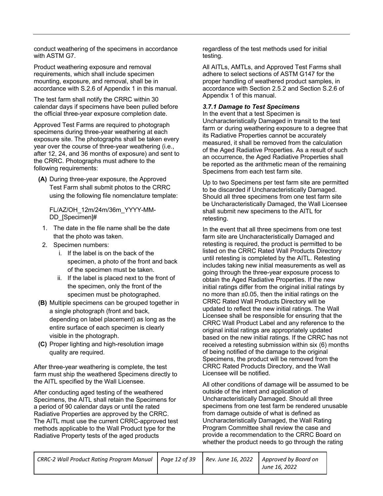conduct weathering of the specimens in accordance with ASTM G7.

Product weathering exposure and removal requirements, which shall include specimen mounting, exposure, and removal, shall be in accordance with S.2.6 of Appendix 1 in this manual.

The test farm shall notify the CRRC within 30 calendar days if specimens have been pulled before the official three-year exposure completion date.

Approved Test Farms are required to photograph specimens during three-year weathering at each exposure site. The photographs shall be taken every year over the course of three-year weathering (i.e., after 12, 24, and 36 months of exposure) and sent to the CRRC. Photographs must adhere to the following requirements:

**(A)** During three-year exposure, the Approved Test Farm shall submit photos to the CRRC using the following file nomenclature template:

FL/AZ/OH\_12m/24m/36m\_YYYY-MM-DD\_[Specimen]#

- 1. The date in the file name shall be the date that the photo was taken.
- 2. Specimen numbers:
	- i. If the label is on the back of the specimen, a photo of the front and back of the specimen must be taken.
	- ii. If the label is placed next to the front of the specimen, only the front of the specimen must be photographed.
- **(B)** Multiple specimens can be grouped together in a single photograph (front and back, depending on label placement) as long as the entire surface of each specimen is clearly visible in the photograph.
- **(C)** Proper lighting and high-resolution image quality are required.

After three-year weathering is complete, the test farm must ship the weathered Specimens directly to the AITL specified by the Wall Licensee.

After conducting aged testing of the weathered Specimens, the AITL shall retain the Specimens for a period of 90 calendar days or until the rated Radiative Properties are approved by the CRRC. The AITL must use the current CRRC-approved test methods applicable to the Wall Product type for the Radiative Property tests of the aged products

regardless of the test methods used for initial testing.

All AITLs, AMTLs, and Approved Test Farms shall adhere to select sections of ASTM G147 for the proper handling of weathered product samples, in accordance with Section 2.5.2 and Section S.2.6 of Appendix 1 of this manual.

#### *3.7.1 Damage to Test Specimens*

In the event that a test Specimen is Uncharacteristically Damaged in transit to the test farm or during weathering exposure to a degree that its Radiative Properties cannot be accurately measured, it shall be removed from the calculation of the Aged Radiative Properties. As a result of such an occurrence, the Aged Radiative Properties shall be reported as the arithmetic mean of the remaining Specimens from each test farm site.

Up to two Specimens per test farm site are permitted to be discarded if Uncharacteristically Damaged. Should all three specimens from one test farm site be Uncharacteristically Damaged, the Wall Licensee shall submit new specimens to the AITL for retesting.

In the event that all three specimens from one test farm site are Uncharacteristically Damaged and retesting is required, the product is permitted to be listed on the CRRC Rated Wall Products Directory until retesting is completed by the AITL. Retesting includes taking new initial measurements as well as going through the three-year exposure process to obtain the Aged Radiative Properties. If the new initial ratings differ from the original initial ratings by no more than ±0.05, then the initial ratings on the CRRC Rated Wall Products Directory will be updated to reflect the new initial ratings. The Wall Licensee shall be responsible for ensuring that the CRRC Wall Product Label and any reference to the original initial ratings are appropriately updated based on the new initial ratings. If the CRRC has not received a retesting submission within six (6) months of being notified of the damage to the original Specimens, the product will be removed from the CRRC Rated Products Directory, and the Wall Licensee will be notified.

All other conditions of damage will be assumed to be outside of the intent and application of Uncharacteristically Damaged. Should all three specimens from one test farm be rendered unusable from damage outside of what is defined as Uncharacteristically Damaged, the Wall Rating Program Committee shall review the case and provide a recommendation to the CRRC Board on whether the product needs to go through the rating

| CRRC-2 Wall Product Rating Program Manual   Page 12 of 39 | Rev. June 16, 2022 | Approved by Board on |
|-----------------------------------------------------------|--------------------|----------------------|
|                                                           |                    | June 16, 2022        |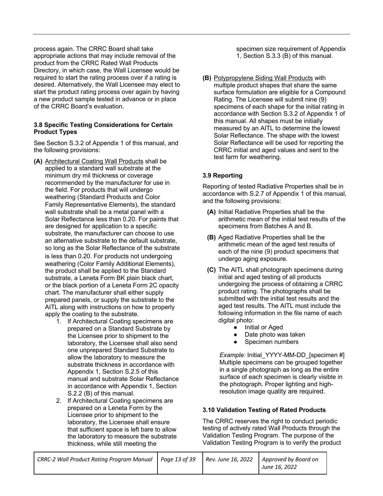process again. The CRRC Board shall take appropriate actions that may include removal of the product from the CRRC Rated Wall Products Directory, in which case, the Wall Licensee would be required to start the rating process over if a rating is desired. Alternatively, the Wall Licensee may elect to start the product rating process over again by having a new product sample tested in advance or in place of the CRRC Board's evaluation.

#### **3.8 Specific Testing Considerations for Certain Product Types**

See Section S.3.2 of Appendix 1 of this manual, and the following provisions:

- **(A)** Architectural Coating Wall Products shall be applied to a standard wall substrate at the minimum dry mil thickness or coverage recommended by the manufacturer for use in the field. For products that will undergo weathering (Standard Products and Color Family Representative Elements), the standard wall substrate shall be a metal panel with a Solar Reflectance less than 0.20. For paints that are designed for application to a specific substrate, the manufacturer can choose to use an alternative substrate to the default substrate, so long as the Solar Reflectance of the substrate is less than 0.20. For products not undergoing weathering (Color Family Additional Elements), the product shall be applied to the Standard substrate, a Leneta Form BK plain black chart, or the black portion of a Leneta Form 2C opacity chart. The manufacturer shall either supply prepared panels, or supply the substrate to the AITL along with instructions on how to properly apply the coating to the substrate.
	- 1. If Architectural Coating specimens are prepared on a Standard Substrate by the Licensee prior to shipment to the laboratory, the Licensee shall also send one unprepared Standard Substrate to allow the laboratory to measure the substrate thickness in accordance with Appendix 1, Section S.2.5 of this manual and substrate Solar Reflectance in accordance with Appendix 1, Section S.2.2 (B) of this manual.
	- 2. If Architectural Coating specimens are prepared on a Leneta Form by the Licensee prior to shipment to the laboratory, the Licensee shall ensure that sufficient space is left bare to allow the laboratory to measure the substrate thickness, while still meeting the

specimen size requirement of Appendix 1, Section S.3.3 (B) of this manual.

**(B)** Polypropylene Siding Wall Products with multiple product shapes that share the same surface formulation are eligible for a Compound Rating. The Licensee will submit nine (9) specimens of each shape for the initial rating in accordance with Section S.3.2 of Appendix 1 of this manual. All shapes must be initially measured by an AITL to determine the lowest Solar Reflectance. The shape with the lowest Solar Reflectance will be used for reporting the CRRC initial and aged values and sent to the test farm for weathering.

#### **3.9 Reporting**

Reporting of tested Radiative Properties shall be in accordance with S.2.7 of Appendix 1 of this manual, and the following provisions:

- **(A)** Initial Radiative Properties shall be the arithmetic mean of the initial test results of the specimens from Batches A and B.
- **(B)** Aged Radiative Properties shall be the arithmetic mean of the aged test results of each of the nine (9) product specimens that undergo aging exposure.
- **(C)** The AITL shall photograph specimens during initial and aged testing of all products undergoing the process of obtaining a CRRC product rating. The photographs shall be submitted with the initial test results and the aged test results. The AITL must include the following information in the file name of each digital photo:
	- Initial or Aged
	- Date photo was taken
	- Specimen numbers

*Example:* Initial YYYY-MM-DD [specimen #] Multiple specimens can be grouped together in a single photograph as long as the entire surface of each specimen is clearly visible in the photograph. Proper lighting and highresolution image quality are required.

#### **3.10 Validation Testing of Rated Products**

The CRRC reserves the right to conduct periodic testing of actively rated Wall Products through the Validation Testing Program. The purpose of the Validation Testing Program is to verify the product

| CRRC-2 Wall Product Rating Program Manual   Page 13 of 39 |  | Rev. June 16, 2022   Approved by Board on |
|-----------------------------------------------------------|--|-------------------------------------------|
|                                                           |  | June 16, 2022                             |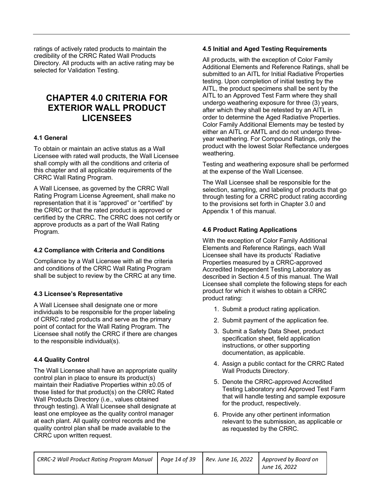ratings of actively rated products to maintain the credibility of the CRRC Rated Wall Products Directory. All products with an active rating may be selected for Validation Testing.

### **CHAPTER 4.0 CRITERIA FOR EXTERIOR WALL PRODUCT LICENSEES**

#### **4.1 General**

To obtain or maintain an active status as a Wall Licensee with rated wall products, the Wall Licensee shall comply with all the conditions and criteria of this chapter and all applicable requirements of the CRRC Wall Rating Program.

A Wall Licensee, as governed by the CRRC Wall Rating Program License Agreement, shall make no representation that it is "approved" or "certified" by the CRRC or that the rated product is approved or certified by the CRRC. The CRRC does not certify or approve products as a part of the Wall Rating Program.

#### **4.2 Compliance with Criteria and Conditions**

Compliance by a Wall Licensee with all the criteria and conditions of the CRRC Wall Rating Program shall be subject to review by the CRRC at any time.

#### **4.3 Licensee's Representative**

A Wall Licensee shall designate one or more individuals to be responsible for the proper labeling of CRRC rated products and serve as the primary point of contact for the Wall Rating Program. The Licensee shall notify the CRRC if there are changes to the responsible individual(s).

#### **4.4 Quality Control**

The Wall Licensee shall have an appropriate quality control plan in place to ensure its product(s) maintain their Radiative Properties within ±0.05 of those listed for that product(s) on the CRRC Rated Wall Products Directory (i.e., values obtained through testing). A Wall Licensee shall designate at least one employee as the quality control manager at each plant. All quality control records and the quality control plan shall be made available to the CRRC upon written request.

#### **4.5 Initial and Aged Testing Requirements**

All products, with the exception of Color Family Additional Elements and Reference Ratings, shall be submitted to an AITL for Initial Radiative Properties testing. Upon completion of initial testing by the AITL, the product specimens shall be sent by the AITL to an Approved Test Farm where they shall undergo weathering exposure for three (3) years, after which they shall be retested by an AITL in order to determine the Aged Radiative Properties. Color Family Additional Elements may be tested by either an AITL or AMTL and do not undergo threeyear weathering. For Compound Ratings, only the product with the lowest Solar Reflectance undergoes weathering.

Testing and weathering exposure shall be performed at the expense of the Wall Licensee.

The Wall Licensee shall be responsible for the selection, sampling, and labeling of products that go through testing for a CRRC product rating according to the provisions set forth in Chapter 3.0 and Appendix 1 of this manual.

#### **4.6 Product Rating Applications**

With the exception of Color Family Additional Elements and Reference Ratings, each Wall Licensee shall have its products' Radiative Properties measured by a CRRC-approved Accredited Independent Testing Laboratory as described in Section 4.5 of this manual. The Wall Licensee shall complete the following steps for each product for which it wishes to obtain a CRRC product rating:

- 1. Submit a product rating application.
- 2. Submit payment of the application fee.
- 3. Submit a Safety Data Sheet, product specification sheet, field application instructions, or other supporting documentation, as applicable.
- 4. Assign a public contact for the CRRC Rated Wall Products Directory.
- 5. Denote the CRRC-approved Accredited Testing Laboratory and Approved Test Farm that will handle testing and sample exposure for the product, respectively.
- 6. Provide any other pertinent information relevant to the submission, as applicable or as requested by the CRRC.

| CRRC-2 Wall Product Rating Program Manual   Page 14 of 39 |  | Rev. June 16, 2022   Approved by Board on |
|-----------------------------------------------------------|--|-------------------------------------------|
|                                                           |  | June 16, 2022                             |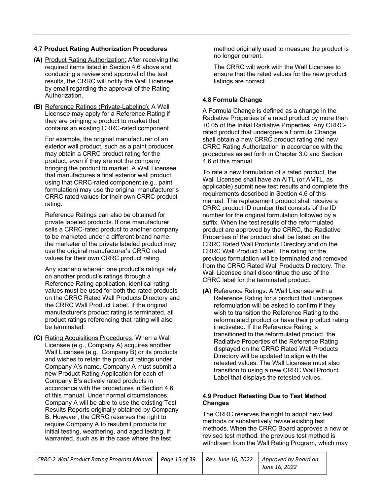#### **4.7 Product Rating Authorization Procedures**

- **(A)** Product Rating Authorization: After receiving the required items listed in Section 4.6 above and conducting a review and approval of the test results, the CRRC will notify the Wall Licensee by email regarding the approval of the Rating Authorization.
- **(B)** Reference Ratings (Private-Labeling): A Wall Licensee may apply for a Reference Rating if they are bringing a product to market that contains an existing CRRC-rated component.

For example, the original manufacturer of an exterior wall product, such as a paint producer, may obtain a CRRC product rating for the product, even if they are not the company bringing the product to market. A Wall Licensee that manufactures a final exterior wall product using that CRRC-rated component (e.g., paint formulation) may use the original manufacturer's CRRC rated values for their own CRRC product rating.

Reference Ratings can also be obtained for private labeled products. If one manufacturer sells a CRRC-rated product to another company to be marketed under a different brand name, the marketer of the private labeled product may use the original manufacturer's CRRC rated values for their own CRRC product rating.

Any scenario wherein one product's ratings rely on another product's ratings through a Reference Rating application, identical rating values must be used for both the rated products on the CRRC Rated Wall Products Directory and the CRRC Wall Product Label. If the original manufacturer's product rating is terminated, all product ratings referencing that rating will also be terminated.

**(C)** Rating Acquisitions Procedures: When a Wall Licensee (e.g., Company A) acquires another Wall Licensee (e.g., Company B) or its products and wishes to retain the product ratings under Company A's name, Company A must submit a new Product Rating Application for each of Company B's actively rated products in accordance with the procedures in Section 4.6 of this manual. Under normal circumstances, Company A will be able to use the existing Test Results Reports originally obtained by Company B. However, the CRRC reserves the right to require Company A to resubmit products for initial testing, weathering, and aged testing, if warranted, such as in the case where the test

method originally used to measure the product is no longer current.

The CRRC will work with the Wall Licensee to ensure that the rated values for the new product listings are correct.

#### **4.8 Formula Change**

A Formula Change is defined as a change in the Radiative Properties of a rated product by more than ±0.05 of the Initial Radiative Properties. Any CRRCrated product that undergoes a Formula Change shall obtain a new CRRC product rating and new CRRC Rating Authorization in accordance with the procedures as set forth in Chapter 3.0 and Section 4.6 of this manual.

To rate a new formulation of a rated product, the Wall Licensee shall have an AITL (or AMTL, as applicable) submit new test results and complete the requirements described in Section 4.6 of this manual. The replacement product shall receive a CRRC product ID number that consists of the ID number for the original formulation followed by a suffix. When the test results of the reformulated product are approved by the CRRC, the Radiative Properties of the product shall be listed on the CRRC Rated Wall Products Directory and on the CRRC Wall Product Label. The rating for the previous formulation will be terminated and removed from the CRRC Rated Wall Products Directory. The Wall Licensee shall discontinue the use of the CRRC label for the terminated product.

**(A)** Reference Ratings: A Wall Licensee with a Reference Rating for a product that undergoes reformulation will be asked to confirm if they wish to transition the Reference Rating to the reformulated product or have their product rating inactivated. If the Reference Rating is transitioned to the reformulated product, the Radiative Properties of the Reference Rating displayed on the CRRC Rated Wall Products Directory will be updated to align with the retested values. The Wall Licensee must also transition to using a new CRRC Wall Product Label that displays the retested values.

#### **4.9 Product Retesting Due to Test Method Changes**

The CRRC reserves the right to adopt new test methods or substantively revise existing test methods. When the CRRC Board approves a new or revised test method, the previous test method is withdrawn from the Wall Rating Program, which may

| CRRC-2 Wall Product Rating Program Manual   Page 15 of 39 | Rev. June 16, 2022 | Approved by Board on |
|-----------------------------------------------------------|--------------------|----------------------|
|                                                           |                    | June 16, 2022        |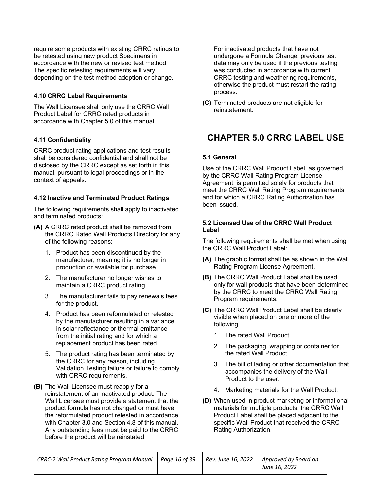require some products with existing CRRC ratings to be retested using new product Specimens in accordance with the new or revised test method. The specific retesting requirements will vary depending on the test method adoption or change.

#### **4.10 CRRC Label Requirements**

The Wall Licensee shall only use the CRRC Wall Product Label for CRRC rated products in accordance with Chapter 5.0 of this manual.

#### **4.11 Confidentiality**

CRRC product rating applications and test results shall be considered confidential and shall not be disclosed by the CRRC except as set forth in this manual, pursuant to legal proceedings or in the context of appeals.

#### **4.12 Inactive and Terminated Product Ratings**

The following requirements shall apply to inactivated and terminated products:

- **(A)** A CRRC rated product shall be removed from the CRRC Rated Wall Products Directory for any of the following reasons:
	- 1. Product has been discontinued by the manufacturer, meaning it is no longer in production or available for purchase.
	- 2. The manufacturer no longer wishes to maintain a CRRC product rating.
	- 3. The manufacturer fails to pay renewals fees for the product.
	- 4. Product has been reformulated or retested by the manufacturer resulting in a variance in solar reflectance or thermal emittance from the initial rating and for which a replacement product has been rated.
	- 5. The product rating has been terminated by the CRRC for any reason, including Validation Testing failure or failure to comply with CRRC requirements.
- **(B)** The Wall Licensee must reapply for a reinstatement of an inactivated product. The Wall Licensee must provide a statement that the product formula has not changed or must have the reformulated product retested in accordance with Chapter 3.0 and Section 4.8 of this manual. Any outstanding fees must be paid to the CRRC before the product will be reinstated.

For inactivated products that have not undergone a Formula Change, previous test data may only be used if the previous testing was conducted in accordance with current CRRC testing and weathering requirements, otherwise the product must restart the rating process.

**(C)** Terminated products are not eligible for reinstatement.

### **CHAPTER 5.0 CRRC LABEL USE**

#### **5.1 General**

Use of the CRRC Wall Product Label, as governed by the CRRC Wall Rating Program License Agreement, is permitted solely for products that meet the CRRC Wall Rating Program requirements and for which a CRRC Rating Authorization has been issued.

#### **5.2 Licensed Use of the CRRC Wall Product Label**

The following requirements shall be met when using the CRRC Wall Product Label:

- **(A)** The graphic format shall be as shown in the Wall Rating Program License Agreement.
- **(B)** The CRRC Wall Product Label shall be used only for wall products that have been determined by the CRRC to meet the CRRC Wall Rating Program requirements.
- **(C)** The CRRC Wall Product Label shall be clearly visible when placed on one or more of the following:
	- 1. The rated Wall Product.
	- 2. The packaging, wrapping or container for the rated Wall Product.
	- 3. The bill of lading or other documentation that accompanies the delivery of the Wall Product to the user.
	- 4. Marketing materials for the Wall Product.
- **(D)** When used in product marketing or informational materials for multiple products, the CRRC Wall Product Label shall be placed adjacent to the specific Wall Product that received the CRRC Rating Authorization.

| CRRC-2 Wall Product Rating Program Manual   Page 16 of 39 | Rev. June 16, 2022 | Approved by Board on |
|-----------------------------------------------------------|--------------------|----------------------|
|                                                           |                    | June 16, 2022        |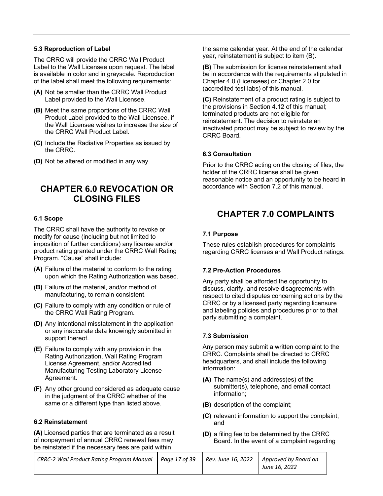#### **5.3 Reproduction of Label**

The CRRC will provide the CRRC Wall Product Label to the Wall Licensee upon request. The label is available in color and in grayscale. Reproduction of the label shall meet the following requirements:

- **(A)** Not be smaller than the CRRC Wall Product Label provided to the Wall Licensee.
- **(B)** Meet the same proportions of the CRRC Wall Product Label provided to the Wall Licensee, if the Wall Licensee wishes to increase the size of the CRRC Wall Product Label.
- **(C)** Include the Radiative Properties as issued by the CRRC.
- **(D)** Not be altered or modified in any way.

## **CHAPTER 6.0 REVOCATION OR CLOSING FILES**

#### **6.1 Scope**

The CRRC shall have the authority to revoke or modify for cause (including but not limited to imposition of further conditions) any license and/or product rating granted under the CRRC Wall Rating Program. "Cause" shall include:

- **(A)** Failure of the material to conform to the rating upon which the Rating Authorization was based.
- **(B)** Failure of the material, and/or method of manufacturing, to remain consistent.
- **(C)** Failure to comply with any condition or rule of the CRRC Wall Rating Program.
- **(D)** Any intentional misstatement in the application or any inaccurate data knowingly submitted in support thereof.
- **(E)** Failure to comply with any provision in the Rating Authorization, Wall Rating Program License Agreement, and/or Accredited Manufacturing Testing Laboratory License Agreement.
- **(F)** Any other ground considered as adequate cause in the judgment of the CRRC whether of the same or a different type than listed above.

#### **6.2 Reinstatement**

**(A)** Licensed parties that are terminated as a result of nonpayment of annual CRRC renewal fees may be reinstated if the necessary fees are paid within

the same calendar year. At the end of the calendar year, reinstatement is subject to item (B).

**(B)** The submission for license reinstatement shall be in accordance with the requirements stipulated in Chapter 4.0 (Licensees) or Chapter 2.0 for (accredited test labs) of this manual.

**(C)** Reinstatement of a product rating is subject to the provisions in Section 4.12 of this manual; terminated products are not eligible for reinstatement. The decision to reinstate an inactivated product may be subject to review by the CRRC Board.

#### **6.3 Consultation**

Prior to the CRRC acting on the closing of files, the holder of the CRRC license shall be given reasonable notice and an opportunity to be heard in accordance with Section 7.2 of this manual.

## **CHAPTER 7.0 COMPLAINTS**

#### **7.1 Purpose**

These rules establish procedures for complaints regarding CRRC licenses and Wall Product ratings.

#### **7.2 Pre-Action Procedures**

Any party shall be afforded the opportunity to discuss, clarify, and resolve disagreements with respect to cited disputes concerning actions by the CRRC or by a licensed party regarding licensure and labeling policies and procedures prior to that party submitting a complaint.

#### **7.3 Submission**

Any person may submit a written complaint to the CRRC. Complaints shall be directed to CRRC headquarters, and shall include the following information:

- **(A)** The name(s) and address(es) of the submitter(s), telephone, and email contact information;
- **(B)** description of the complaint;
- **(C)** relevant information to support the complaint; and
- **(D)** a filing fee to be determined by the CRRC Board. In the event of a complaint regarding

| CRRC-2 Wall Product Rating Program Manual   Page 17 of 39 | Rev. June 16, 2022 | Approved by Board on |
|-----------------------------------------------------------|--------------------|----------------------|
|                                                           |                    | June 16, 2022        |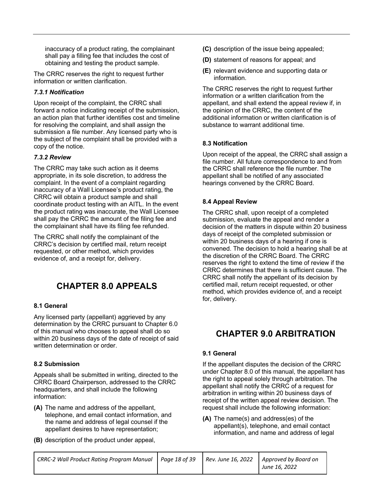inaccuracy of a product rating, the complainant shall pay a filling fee that includes the cost of obtaining and testing the product sample.

The CRRC reserves the right to request further information or written clarification.

#### *7.3.1 Notification*

Upon receipt of the complaint, the CRRC shall forward a notice indicating receipt of the submission, an action plan that further identifies cost and timeline for resolving the complaint, and shall assign the submission a file number. Any licensed party who is the subject of the complaint shall be provided with a copy of the notice.

#### *7.3.2 Review*

The CRRC may take such action as it deems appropriate, in its sole discretion, to address the complaint. In the event of a complaint regarding inaccuracy of a Wall Licensee's product rating, the CRRC will obtain a product sample and shall coordinate product testing with an AITL. In the event the product rating was inaccurate, the Wall Licensee shall pay the CRRC the amount of the filing fee and the complainant shall have its filing fee refunded.

The CRRC shall notify the complainant of the CRRC's decision by certified mail, return receipt requested, or other method, which provides evidence of, and a receipt for, delivery.

## **CHAPTER 8.0 APPEALS**

#### **8.1 General**

Any licensed party (appellant) aggrieved by any determination by the CRRC pursuant to Chapter 6.0 of this manual who chooses to appeal shall do so within 20 business days of the date of receipt of said written determination or order.

#### **8.2 Submission**

Appeals shall be submitted in writing, directed to the CRRC Board Chairperson, addressed to the CRRC headquarters, and shall include the following information:

- **(A)** The name and address of the appellant, telephone, and email contact information, and the name and address of legal counsel if the appellant desires to have representation;
- **(B)** description of the product under appeal,
- **(C)** description of the issue being appealed;
- **(D)** statement of reasons for appeal; and
- **(E)** relevant evidence and supporting data or information.

The CRRC reserves the right to request further information or a written clarification from the appellant, and shall extend the appeal review if, in the opinion of the CRRC, the content of the additional information or written clarification is of substance to warrant additional time.

#### **8.3 Notification**

Upon receipt of the appeal, the CRRC shall assign a file number. All future correspondence to and from the CRRC shall reference the file number. The appellant shall be notified of any associated hearings convened by the CRRC Board.

#### **8.4 Appeal Review**

The CRRC shall, upon receipt of a completed submission, evaluate the appeal and render a decision of the matters in dispute within 20 business days of receipt of the completed submission or within 20 business days of a hearing if one is convened. The decision to hold a hearing shall be at the discretion of the CRRC Board. The CRRC reserves the right to extend the time of review if the CRRC determines that there is sufficient cause. The CRRC shall notify the appellant of its decision by certified mail, return receipt requested, or other method, which provides evidence of, and a receipt for, delivery.

## **CHAPTER 9.0 ARBITRATION**

#### **9.1 General**

If the appellant disputes the decision of the CRRC under Chapter 8.0 of this manual, the appellant has the right to appeal solely through arbitration. The appellant shall notify the CRRC of a request for arbitration in writing within 20 business days of receipt of the written appeal review decision. The request shall include the following information:

**(A)** The name(s) and address(es) of the appellant(s), telephone, and email contact information, and name and address of legal

| CRRC-2 Wall Product Rating Program Manual   Page 18 of 39 |  | Rev. June 16, 2022   Approved by Board on |
|-----------------------------------------------------------|--|-------------------------------------------|
|                                                           |  | June 16, 2022                             |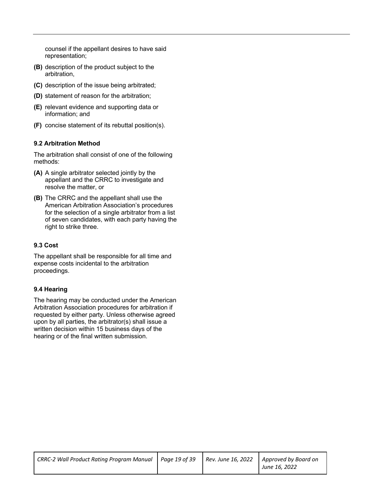counsel if the appellant desires to have said representation;

- **(B)** description of the product subject to the arbitration,
- **(C)** description of the issue being arbitrated;
- **(D)** statement of reason for the arbitration;
- **(E)** relevant evidence and supporting data or information; and
- **(F)** concise statement of its rebuttal position(s).

#### **9.2 Arbitration Method**

The arbitration shall consist of one of the following methods:

- **(A)** A single arbitrator selected jointly by the appellant and the CRRC to investigate and resolve the matter, or
- **(B)** The CRRC and the appellant shall use the American Arbitration Association's procedures for the selection of a single arbitrator from a list of seven candidates, with each party having the right to strike three.

#### **9.3 Cost**

The appellant shall be responsible for all time and expense costs incidental to the arbitration proceedings.

#### **9.4 Hearing**

The hearing may be conducted under the American Arbitration Association procedures for arbitration if requested by either party. Unless otherwise agreed upon by all parties, the arbitrator(s) shall issue a written decision within 15 business days of the hearing or of the final written submission.

| CRRC-2 Wall Product Rating Program Manual   Page 19 of 39   Rev. June 16, 2022   Approved by Board on |  |               |
|-------------------------------------------------------------------------------------------------------|--|---------------|
|                                                                                                       |  | June 16, 2022 |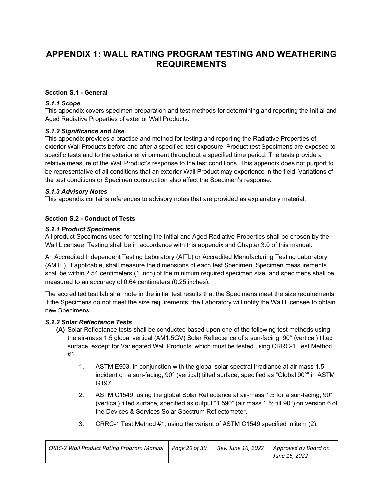### **APPENDIX 1: WALL RATING PROGRAM TESTING AND WEATHERING REQUIREMENTS**

#### **Section S.1 - General**

#### *S.1.1 Scope*

This appendix covers specimen preparation and test methods for determining and reporting the Initial and Aged Radiative Properties of exterior Wall Products.

#### *S.1.2 Significance and Use*

This appendix provides a practice and method for testing and reporting the Radiative Properties of exterior Wall Products before and after a specified test exposure. Product test Specimens are exposed to specific tests and to the exterior environment throughout a specified time period. The tests provide a relative measure of the Wall Product's response to the test conditions. This appendix does not purport to be representative of all conditions that an exterior Wall Product may experience in the field. Variations of the test conditions or Specimen construction also affect the Specimen's response.

#### *S.1.3 Advisory Notes*

This appendix contains references to advisory notes that are provided as explanatory material.

#### **Section S.2 - Conduct of Tests**

#### *S.2.1 Product Specimens*

All product Specimens used for testing the Initial and Aged Radiative Properties shall be chosen by the Wall Licensee. Testing shall be in accordance with this appendix and Chapter 3.0 of this manual.

An Accredited Independent Testing Laboratory (AITL) or Accredited Manufacturing Testing Laboratory (AMTL), if applicable, shall measure the dimensions of each test Specimen. Specimen measurements shall be within 2.54 centimeters (1 inch) of the minimum required specimen size, and specimens shall be measured to an accuracy of 0.64 centimeters (0.25 inches).

The accredited test lab shall note in the initial test results that the Specimens meet the size requirements. If the Specimens do not meet the size requirements, the Laboratory will notify the Wall Licensee to obtain new Specimens.

#### *S.2.2 Solar Reflectance Tests*

- **(A)** Solar Reflectance tests shall be conducted based upon one of the following test methods using the air-mass 1.5 global vertical (AM1.5GV) Solar Reflectance of a sun-facing, 90° (vertical) tilted surface, except for Variegated Wall Products, which must be tested using CRRC-1 Test Method #1.
	- 1. ASTM E903, in conjunction with the global solar-spectral irradiance at air mass 1.5 incident on a sun-facing, 90° (vertical) tilted surface, specified as "Global 90°" in ASTM G197.
	- 2. ASTM C1549, using the global Solar Reflectance at air-mass 1.5 for a sun-facing, 90° (vertical) tilted surface, specified as output "1.590" (air mass 1.5; tilt 90°) on version 6 of the Devices & Services Solar Spectrum Reflectometer.
	- 3. CRRC-1 Test Method #1, using the variant of ASTM C1549 specified in item (2).

| CRRC-2 Wall Product Rating Program Manual   Page 20 of 39   Rev. June 16, 2022   Approved by Board on |  |               |
|-------------------------------------------------------------------------------------------------------|--|---------------|
|                                                                                                       |  | June 16, 2022 |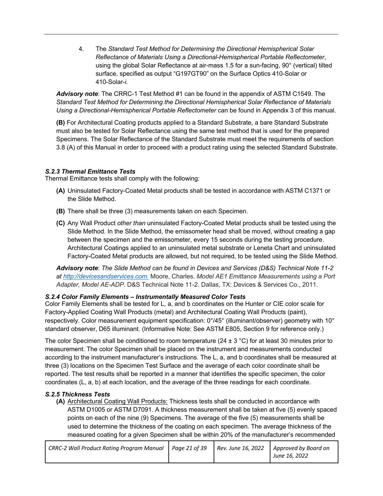4. The *Standard Test Method for Determining the Directional Hemispherical Solar Reflectance of Materials Using a Directional-Hemispherical Portable Reflectometer*, using the global Solar Reflectance at air-mass 1.5 for a sun-facing, 90° (vertical) tilted surface, specified as output "G197GT90" on the Surface Optics 410-Solar or 410-Solar-*i.*

*Advisory note*: The CRRC-1 Test Method #1 can be found in the appendix of ASTM C1549. The *Standard Test Method for Determining the Directional Hemispherical Solar Reflectance of Materials Using a Directional-Hemispherical Portable Reflectometer* can be found in Appendix 3 of this manual.

**(B)** For Architectural Coating products applied to a Standard Substrate, a bare Standard Substrate must also be tested for Solar Reflectance using the same test method that is used for the prepared Specimens. The Solar Reflectance of the Standard Substrate must meet the requirements of section 3.8 (A) of this Manual in order to proceed with a product rating using the selected Standard Substrate.

#### *S.2.3 Thermal Emittance Tests*

Thermal Emittance tests shall comply with the following:

- **(A)** Uninsulated Factory-Coated Metal products shall be tested in accordance with ASTM C1371 or the Slide Method.
- **(B)** There shall be three (3) measurements taken on each Specimen.
- **(C)** Any Wall Product *other than* uninsulated Factory-Coated Metal products shall be tested using the Slide Method. In the Slide Method, the emissometer head shall be moved, without creating a gap between the specimen and the emissometer, every 15 seconds during the testing procedure. Architectural Coatings applied to an uninsulated metal substrate or Leneta Chart and uninsulated Factory-Coated Metal products are allowed, but not required, to be tested using the Slide Method.

*Advisory note*: *The Slide Method can be found in Devices and Services (D&S) Technical Note 11-2 at http://devicesandservices.com.* Moore, Charles. *Model AE1 Emittance Measurements using a Port Adapter, Model AE-ADP*. D&S Technical Note 11-2. Dallas, TX: Devices & Services Co., 2011.

#### *S.2.4 Color Family Elements – Instrumentally Measured Color Tests*

Color Family Elements shall be tested for L, a, and b coordinates on the Hunter or CIE color scale for Factory-Applied Coating Wall Products (metal) and Architectural Coating Wall Products (paint), respectively. Color measurement equipment specification: 0°/45° (illuminant/observer) geometry with 10° standard observer, D65 illuminant. (Informative Note: See ASTM E805, Section 9 for reference only.)

The color Specimen shall be conditioned to room temperature ( $24 \pm 3$  °C) for at least 30 minutes prior to measurement. The color Specimen shall be placed on the instrument and measurements conducted according to the instrument manufacturer's instructions. The L, a, and b coordinates shall be measured at three (3) locations on the Specimen Test Surface and the average of each color coordinate shall be reported. The test results shall be reported in a manner that identifies the specific specimen, the color coordinates (L, a, b) at each location, and the average of the three readings for each coordinate.

#### *S.2.5 Thickness Tests*

**(A)** Architectural Coating Wall Products: Thickness tests shall be conducted in accordance with ASTM D1005 or ASTM D7091. A thickness measurement shall be taken at five (5) evenly spaced points on each of the nine (9) Specimens. The average of the five (5) measurements shall be used to determine the thickness of the coating on each specimen. The average thickness of the measured coating for a given Specimen shall be within 20% of the manufacturer's recommended

| <b>CRRC-2 Wall Product Rating Program Manual</b> | Page 21 of 39 | Rev. June 16, 2022   Approved by Board on |
|--------------------------------------------------|---------------|-------------------------------------------|
|                                                  |               | June 16, 2022                             |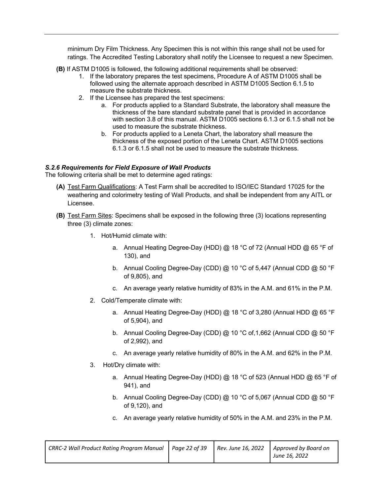minimum Dry Film Thickness. Any Specimen this is not within this range shall not be used for ratings. The Accredited Testing Laboratory shall notify the Licensee to request a new Specimen.

**(B)** If ASTM D1005 is followed, the following additional requirements shall be observed:

- 1. If the laboratory prepares the test specimens, Procedure A of ASTM D1005 shall be followed using the alternate approach described in ASTM D1005 Section 6.1.5 to measure the substrate thickness.
- 2. If the Licensee has prepared the test specimens:
	- a. For products applied to a Standard Substrate, the laboratory shall measure the thickness of the bare standard substrate panel that is provided in accordance with section 3.8 of this manual. ASTM D1005 sections 6.1.3 or 6.1.5 shall not be used to measure the substrate thickness.
	- b. For products applied to a Leneta Chart, the laboratory shall measure the thickness of the exposed portion of the Leneta Chart. ASTM D1005 sections 6.1.3 or 6.1.5 shall not be used to measure the substrate thickness.

#### *S.2.6 Requirements for Field Exposure of Wall Products*

The following criteria shall be met to determine aged ratings:

- **(A)** Test Farm Qualifications: A Test Farm shall be accredited to ISO/IEC Standard 17025 for the weathering and colorimetry testing of Wall Products, and shall be independent from any AITL or Licensee.
- **(B)** Test Farm Sites: Specimens shall be exposed in the following three (3) locations representing three (3) climate zones:
	- 1. Hot/Humid climate with:
		- a. Annual Heating Degree-Day (HDD)  $@$  18 °C of 72 (Annual HDD  $@$  65 °F of 130), and
		- b. Annual Cooling Degree-Day (CDD) @ 10 °C of 5,447 (Annual CDD @ 50 °F of 9,805), and
		- c. An average yearly relative humidity of 83% in the A.M. and 61% in the P.M.
	- 2. Cold/Temperate climate with:
		- a. Annual Heating Degree-Day (HDD) @ 18 °C of 3,280 (Annual HDD @ 65 °F of 5,904), and
		- b. Annual Cooling Degree-Day (CDD) @ 10 °C of, 1,662 (Annual CDD @ 50 °F of 2,992), and
		- c. An average yearly relative humidity of 80% in the A.M. and 62% in the P.M.
	- 3. Hot/Dry climate with:
		- a. Annual Heating Degree-Day (HDD) @ 18 °C of 523 (Annual HDD @ 65 °F of 941), and
		- b. Annual Cooling Degree-Day (CDD) @ 10 °C of 5,067 (Annual CDD @ 50 °F of 9,120), and
		- c. An average yearly relative humidity of 50% in the A.M. and 23% in the P.M.

| CRRC-2 Wall Product Rating Program Manual   Page 22 of 39   Rev. June 16, 2022   Approved by Board on |  |               |
|-------------------------------------------------------------------------------------------------------|--|---------------|
|                                                                                                       |  | June 16, 2022 |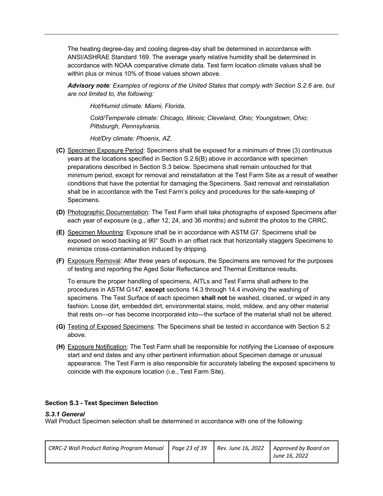The heating degree-day and cooling degree-day shall be determined in accordance with ANSI/ASHRAE Standard 169. The average yearly relative humidity shall be determined in accordance with NOAA comparative climate data. Test farm location climate values shall be within plus or minus 10% of those values shown above.

*Advisory note*: *Examples of regions of the United States that comply with Section S.2.6 are, but are not limited to, the following:*

*Hot/Humid climate: Miami, Florida.*

*Cold/Temperate climate: Chicago, Illinois; Cleveland, Ohio; Youngstown, Ohio; Pittsburgh, Pennsylvania.*

*Hot/Dry climate: Phoenix, AZ.*

- **(C)** Specimen Exposure Period: Specimens shall be exposed for a minimum of three (3) continuous years at the locations specified in Section S.2.6(B) above in accordance with specimen preparations described in Section S.3 below. Specimens shall remain untouched for that minimum period, except for removal and reinstallation at the Test Farm Site as a result of weather conditions that have the potential for damaging the Specimens. Said removal and reinstallation shall be in accordance with the Test Farm's policy and procedures for the safe-keeping of Specimens.
- **(D)** Photographic Documentation: The Test Farm shall take photographs of exposed Specimens after each year of exposure (e.g., after 12, 24, and 36 months) and submit the photos to the CRRC.
- **(E)** Specimen Mounting: Exposure shall be in accordance with ASTM G7. Specimens shall be exposed on wood backing at 90° South in an offset rack that horizontally staggers Specimens to minimize cross-contamination induced by dripping.
- **(F)** Exposure Removal: After three years of exposure, the Specimens are removed for the purposes of testing and reporting the Aged Solar Reflectance and Thermal Emittance results.

To ensure the proper handling of specimens, AITLs and Test Farms shall adhere to the procedures in ASTM G147, **except** sections 14.3 through 14.4 involving the washing of specimens. The Test Surface of each specimen **shall not** be washed, cleaned, or wiped in any fashion. Loose dirt, embedded dirt, environmental stains, mold, mildew, and any other material that rests on—or has become incorporated into—the surface of the material shall not be altered.

- **(G)** Testing of Exposed Specimens: The Specimens shall be tested in accordance with Section S.2 above.
- **(H)** Exposure Notification: The Test Farm shall be responsible for notifying the Licensee of exposure start and end dates and any other pertinent information about Specimen damage or unusual appearance. The Test Farm is also responsible for accurately labeling the exposed specimens to coincide with the exposure location (i.e., Test Farm Site).

#### **Section S.3 - Test Specimen Selection**

#### *S.3.1 General*

Wall Product Specimen selection shall be determined in accordance with one of the following:

| CRRC-2 Wall Product Rating Program Manual   Page 23 of 39 |  |  | $\mid$ Rev. June 16, 2022 $\mid$ Approved by Board on<br>June 16, 2022 |
|-----------------------------------------------------------|--|--|------------------------------------------------------------------------|
|-----------------------------------------------------------|--|--|------------------------------------------------------------------------|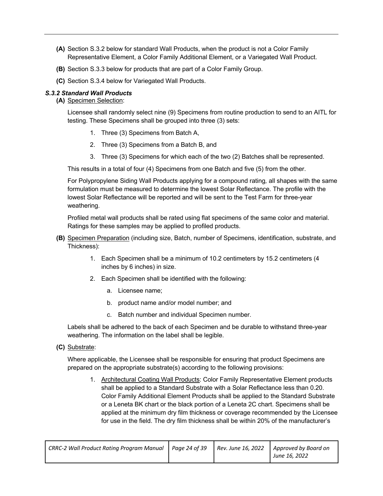- **(A)** Section S.3.2 below for standard Wall Products, when the product is not a Color Family Representative Element, a Color Family Additional Element, or a Variegated Wall Product.
- **(B)** Section S.3.3 below for products that are part of a Color Family Group.
- **(C)** Section S.3.4 below for Variegated Wall Products.

#### *S.3.2 Standard Wall Products*

**(A)** Specimen Selection:

Licensee shall randomly select nine (9) Specimens from routine production to send to an AITL for testing. These Specimens shall be grouped into three (3) sets:

- 1. Three (3) Specimens from Batch A,
- 2. Three (3) Specimens from a Batch B, and
- 3. Three (3) Specimens for which each of the two (2) Batches shall be represented.

This results in a total of four (4) Specimens from one Batch and five (5) from the other.

For Polypropylene Siding Wall Products applying for a compound rating*,* all shapes with the same formulation must be measured to determine the lowest Solar Reflectance. The profile with the lowest Solar Reflectance will be reported and will be sent to the Test Farm for three-year weathering.

Profiled metal wall products shall be rated using flat specimens of the same color and material. Ratings for these samples may be applied to profiled products.

- **(B)** Specimen Preparation (including size, Batch, number of Specimens, identification, substrate, and Thickness):
	- 1. Each Specimen shall be a minimum of 10.2 centimeters by 15.2 centimeters (4 inches by 6 inches) in size.
	- 2. Each Specimen shall be identified with the following:
		- a. Licensee name;
		- b. product name and/or model number; and
		- c. Batch number and individual Specimen number.

Labels shall be adhered to the back of each Specimen and be durable to withstand three-year weathering. The information on the label shall be legible.

**(C)** Substrate:

Where applicable, the Licensee shall be responsible for ensuring that product Specimens are prepared on the appropriate substrate(s) according to the following provisions:

1. Architectural Coating Wall Products: Color Family Representative Element products shall be applied to a Standard Substrate with a Solar Reflectance less than 0.20. Color Family Additional Element Products shall be applied to the Standard Substrate or a Leneta BK chart or the black portion of a Leneta 2C chart. Specimens shall be applied at the minimum dry film thickness or coverage recommended by the Licensee for use in the field. The dry film thickness shall be within 20% of the manufacturer's

| CRRC-2 Wall Product Rating Program Manual   Page 24 of 39 |  | Rev. June 16, 2022   Approved by Board on |
|-----------------------------------------------------------|--|-------------------------------------------|
|                                                           |  | June 16, 2022                             |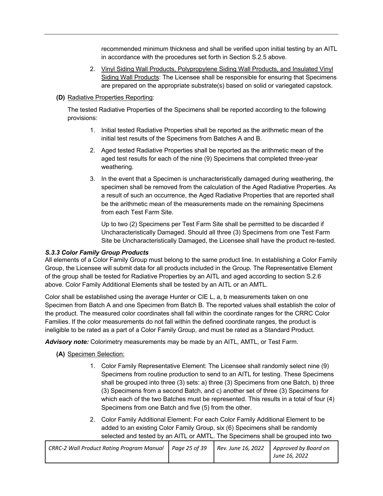recommended minimum thickness and shall be verified upon initial testing by an AITL in accordance with the procedures set forth in Section S.2.5 above.

- 2. Vinyl Siding Wall Products, Polypropylene Siding Wall Products, and Insulated Vinyl Siding Wall Products: The Licensee shall be responsible for ensuring that Specimens are prepared on the appropriate substrate(s) based on solid or variegated capstock.
- **(D)** Radiative Properties Reporting:

The tested Radiative Properties of the Specimens shall be reported according to the following provisions:

- 1. Initial tested Radiative Properties shall be reported as the arithmetic mean of the initial test results of the Specimens from Batches A and B.
- 2. Aged tested Radiative Properties shall be reported as the arithmetic mean of the aged test results for each of the nine (9) Specimens that completed three-year weathering.
- 3. In the event that a Specimen is uncharacteristically damaged during weathering, the specimen shall be removed from the calculation of the Aged Radiative Properties. As a result of such an occurrence, the Aged Radiative Properties that are reported shall be the arithmetic mean of the measurements made on the remaining Specimens from each Test Farm Site.

Up to two (2) Specimens per Test Farm Site shall be permitted to be discarded if Uncharacteristically Damaged. Should all three (3) Specimens from one Test Farm Site be Uncharacteristically Damaged, the Licensee shall have the product re-tested.

#### *S.3.3 Color Family Group Products*

All elements of a Color Family Group must belong to the same product line. In establishing a Color Family Group, the Licensee will submit data for all products included in the Group. The Representative Element of the group shall be tested for Radiative Properties by an AITL and aged according to section S.2.6 above. Color Family Additional Elements shall be tested by an AITL or an AMTL.

Color shall be established using the average Hunter or CIE L, a, b measurements taken on one Specimen from Batch A and one Specimen from Batch B. The reported values shall establish the color of the product. The measured color coordinates shall fall within the coordinate ranges for the CRRC Color Families. If the color measurements do not fall within the defined coordinate ranges, the product is ineligible to be rated as a part of a Color Family Group, and must be rated as a Standard Product.

*Advisory note:* Colorimetry measurements may be made by an AITL, AMTL, or Test Farm.

**(A)** Specimen Selection:

- 1. Color Family Representative Element: The Licensee shall randomly select nine (9) Specimens from routine production to send to an AITL for testing. These Specimens shall be grouped into three (3) sets: a) three (3) Specimens from one Batch, b) three (3) Specimens from a second Batch, and c) another set of three (3) Specimens for which each of the two Batches must be represented. This results in a total of four (4) Specimens from one Batch and five (5) from the other.
- 2. Color Family Additional Element: For each Color Family Additional Element to be added to an existing Color Family Group, six (6) Specimens shall be randomly selected and tested by an AITL or AMTL. The Specimens shall be grouped into two

| CRRC-2 Wall Product Rating Program Manual   Page 25 of 39 |  |  | Rev. June 16, 2022   Approved by Board on<br>June 16, 2022 |
|-----------------------------------------------------------|--|--|------------------------------------------------------------|
|-----------------------------------------------------------|--|--|------------------------------------------------------------|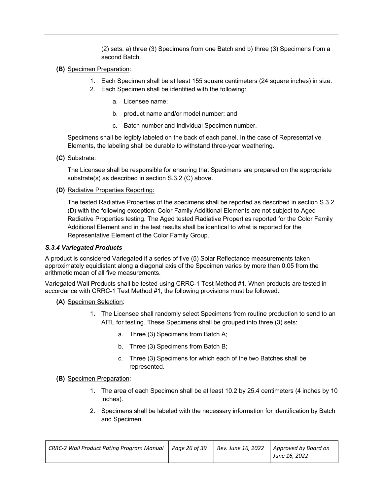(2) sets: a) three (3) Specimens from one Batch and b) three (3) Specimens from a second Batch.

- **(B)** Specimen Preparation:
	- 1. Each Specimen shall be at least 155 square centimeters (24 square inches) in size.
	- 2. Each Specimen shall be identified with the following:
		- a. Licensee name;
		- b. product name and/or model number; and
		- c. Batch number and individual Specimen number.

Specimens shall be legibly labeled on the back of each panel. In the case of Representative Elements, the labeling shall be durable to withstand three-year weathering.

**(C)** Substrate:

The Licensee shall be responsible for ensuring that Specimens are prepared on the appropriate substrate(s) as described in section S.3.2 (C) above.

#### **(D)** Radiative Properties Reporting:

The tested Radiative Properties of the specimens shall be reported as described in section S.3.2 (D) with the following exception: Color Family Additional Elements are not subject to Aged Radiative Properties testing. The Aged tested Radiative Properties reported for the Color Family Additional Element and in the test results shall be identical to what is reported for the Representative Element of the Color Family Group.

#### *S.3.4 Variegated Products*

A product is considered Variegated if a series of five (5) Solar Reflectance measurements taken approximately equidistant along a diagonal axis of the Specimen varies by more than 0.05 from the arithmetic mean of all five measurements.

Variegated Wall Products shall be tested using CRRC-1 Test Method #1. When products are tested in accordance with CRRC-1 Test Method #1, the following provisions must be followed:

**(A)** Specimen Selection:

- 1. The Licensee shall randomly select Specimens from routine production to send to an AITL for testing. These Specimens shall be grouped into three (3) sets:
	- a. Three (3) Specimens from Batch A;
	- b. Three (3) Specimens from Batch B;
	- c. Three (3) Specimens for which each of the two Batches shall be represented.
- **(B)** Specimen Preparation:
	- 1. The area of each Specimen shall be at least 10.2 by 25.4 centimeters (4 inches by 10 inches).
	- 2. Specimens shall be labeled with the necessary information for identification by Batch and Specimen.

| <b>CRRC-2 Wall Product Rating Program Manual</b> | Page 26 of 39 | $\vert$ Rev. June 16, 2022 $\vert$ Approved by Board on |
|--------------------------------------------------|---------------|---------------------------------------------------------|
|                                                  |               | June 16, 2022                                           |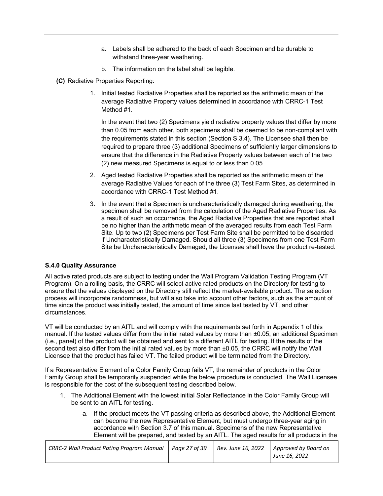- a. Labels shall be adhered to the back of each Specimen and be durable to withstand three-year weathering.
- b. The information on the label shall be legible.
- **(C)** Radiative Properties Reporting:
	- 1. Initial tested Radiative Properties shall be reported as the arithmetic mean of the average Radiative Property values determined in accordance with CRRC-1 Test Method #1.

In the event that two (2) Specimens yield radiative property values that differ by more than 0.05 from each other, both specimens shall be deemed to be non-compliant with the requirements stated in this section (Section S.3.4). The Licensee shall then be required to prepare three (3) additional Specimens of sufficiently larger dimensions to ensure that the difference in the Radiative Property values between each of the two (2) new measured Specimens is equal to or less than 0.05.

- 2. Aged tested Radiative Properties shall be reported as the arithmetic mean of the average Radiative Values for each of the three (3) Test Farm Sites, as determined in accordance with CRRC-1 Test Method #1.
- 3. In the event that a Specimen is uncharacteristically damaged during weathering, the specimen shall be removed from the calculation of the Aged Radiative Properties. As a result of such an occurrence, the Aged Radiative Properties that are reported shall be no higher than the arithmetic mean of the averaged results from each Test Farm Site. Up to two (2) Specimens per Test Farm Site shall be permitted to be discarded if Uncharacteristically Damaged. Should all three (3) Specimens from one Test Farm Site be Uncharacteristically Damaged, the Licensee shall have the product re-tested.

#### **S.4.0 Quality Assurance**

All active rated products are subject to testing under the Wall Program Validation Testing Program (VT Program). On a rolling basis, the CRRC will select active rated products on the Directory for testing to ensure that the values displayed on the Directory still reflect the market-available product. The selection process will incorporate randomness, but will also take into account other factors, such as the amount of time since the product was initially tested, the amount of time since last tested by VT, and other circumstances.

VT will be conducted by an AITL and will comply with the requirements set forth in Appendix 1 of this manual. If the tested values differ from the initial rated values by more than ±0.05, an additional Specimen (i.e., panel) of the product will be obtained and sent to a different AITL for testing. If the results of the second test also differ from the initial rated values by more than  $\pm 0.05$ , the CRRC will notify the Wall Licensee that the product has failed VT. The failed product will be terminated from the Directory.

If a Representative Element of a Color Family Group fails VT, the remainder of products in the Color Family Group shall be temporarily suspended while the below procedure is conducted. The Wall Licensee is responsible for the cost of the subsequent testing described below.

- 1. The Additional Element with the lowest initial Solar Reflectance in the Color Family Group will be sent to an AITL for testing.
	- a. If the product meets the VT passing criteria as described above, the Additional Element can become the new Representative Element, but must undergo three-year aging in accordance with Section 3.7 of this manual. Specimens of the new Representative Element will be prepared, and tested by an AITL. The aged results for all products in the

| CRRC-2 Wall Product Rating Program Manual   Page 27 of 39   Rev. June 16, 2022   Approved by Board on |  |               |
|-------------------------------------------------------------------------------------------------------|--|---------------|
|                                                                                                       |  | June 16, 2022 |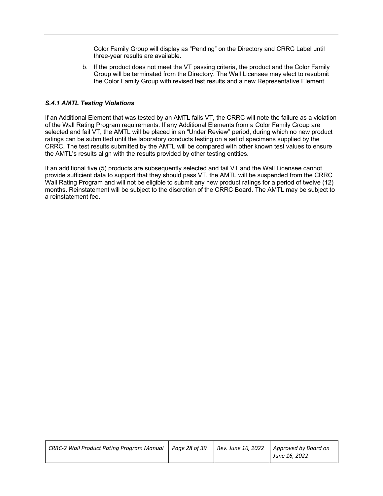Color Family Group will display as "Pending" on the Directory and CRRC Label until three-year results are available.

b. If the product does not meet the VT passing criteria, the product and the Color Family Group will be terminated from the Directory. The Wall Licensee may elect to resubmit the Color Family Group with revised test results and a new Representative Element.

#### *S.4.1 AMTL Testing Violations*

If an Additional Element that was tested by an AMTL fails VT, the CRRC will note the failure as a violation of the Wall Rating Program requirements. If any Additional Elements from a Color Family Group are selected and fail VT, the AMTL will be placed in an "Under Review" period, during which no new product ratings can be submitted until the laboratory conducts testing on a set of specimens supplied by the CRRC. The test results submitted by the AMTL will be compared with other known test values to ensure the AMTL's results align with the results provided by other testing entities.

If an additional five (5) products are subsequently selected and fail VT and the Wall Licensee cannot provide sufficient data to support that they should pass VT, the AMTL will be suspended from the CRRC Wall Rating Program and will not be eligible to submit any new product ratings for a period of twelve (12) months. Reinstatement will be subject to the discretion of the CRRC Board. The AMTL may be subject to a reinstatement fee.

| CRRC-2 Wall Product Rating Program Manual   Page 28 of 39 |  | Rev. June 16, 2022   Approved by Board on |
|-----------------------------------------------------------|--|-------------------------------------------|
|                                                           |  | June 16, 2022                             |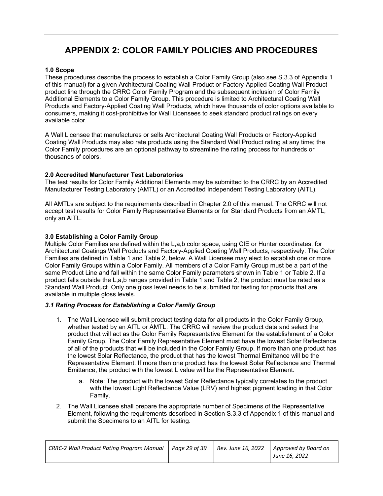## **APPENDIX 2: COLOR FAMILY POLICIES AND PROCEDURES**

#### **1.0 Scope**

These procedures describe the process to establish a Color Family Group (also see S.3.3 of Appendix 1 of this manual) for a given Architectural Coating Wall Product or Factory-Applied Coating Wall Product product line through the CRRC Color Family Program and the subsequent inclusion of Color Family Additional Elements to a Color Family Group. This procedure is limited to Architectural Coating Wall Products and Factory-Applied Coating Wall Products, which have thousands of color options available to consumers, making it cost-prohibitive for Wall Licensees to seek standard product ratings on every available color.

A Wall Licensee that manufactures or sells Architectural Coating Wall Products or Factory-Applied Coating Wall Products may also rate products using the Standard Wall Product rating at any time; the Color Family procedures are an optional pathway to streamline the rating process for hundreds or thousands of colors.

#### **2.0 Accredited Manufacturer Test Laboratories**

The test results for Color Family Additional Elements may be submitted to the CRRC by an Accredited Manufacturer Testing Laboratory (AMTL) or an Accredited Independent Testing Laboratory (AITL).

All AMTLs are subject to the requirements described in Chapter 2.0 of this manual. The CRRC will not accept test results for Color Family Representative Elements or for Standard Products from an AMTL, only an AITL.

#### **3.0 Establishing a Color Family Group**

Multiple Color Families are defined within the L,a,b color space, using CIE or Hunter coordinates, for Architectural Coatings Wall Products and Factory-Applied Coating Wall Products, respectively. The Color Families are defined in Table 1 and Table 2, below. A Wall Licensee may elect to establish one or more Color Family Groups within a Color Family. All members of a Color Family Group must be a part of the same Product Line and fall within the same Color Family parameters shown in Table 1 or Table 2. If a product falls outside the L,a,b ranges provided in Table 1 and Table 2, the product must be rated as a Standard Wall Product. Only one gloss level needs to be submitted for testing for products that are available in multiple gloss levels.

#### *3.1 Rating Process for Establishing a Color Family Group*

- 1. The Wall Licensee will submit product testing data for all products in the Color Family Group, whether tested by an AITL or AMTL. The CRRC will review the product data and select the product that will act as the Color Family Representative Element for the establishment of a Color Family Group. The Color Family Representative Element must have the lowest Solar Reflectance of all of the products that will be included in the Color Family Group. If more than one product has the lowest Solar Reflectance, the product that has the lowest Thermal Emittance will be the Representative Element. If more than one product has the lowest Solar Reflectance and Thermal Emittance, the product with the lowest L value will be the Representative Element.
	- a. Note: The product with the lowest Solar Reflectance typically correlates to the product with the lowest Light Reflectance Value (LRV) and highest pigment loading in that Color Family.
- 2. The Wall Licensee shall prepare the appropriate number of Specimens of the Representative Element, following the requirements described in Section S.3.3 of Appendix 1 of this manual and submit the Specimens to an AITL for testing.

| CRRC-2 Wall Product Rating Program Manual   Page 29 of 39 |  | Rev. June 16, 2022   Approved by Board on |
|-----------------------------------------------------------|--|-------------------------------------------|
|                                                           |  | June 16, 2022                             |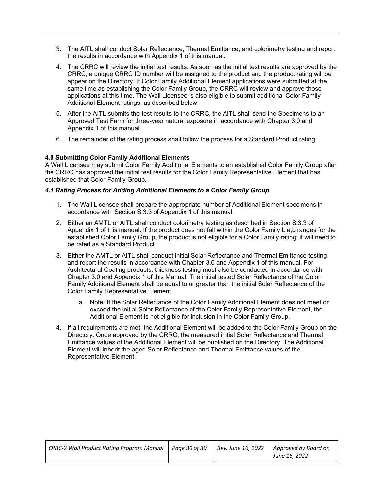- 3. The AITL shall conduct Solar Reflectance, Thermal Emittance, and colorimetry testing and report the results in accordance with Appendix 1 of this manual.
- 4. The CRRC will review the initial test results. As soon as the initial test results are approved by the CRRC, a unique CRRC ID number will be assigned to the product and the product rating will be appear on the Directory. If Color Family Additional Element applications were submitted at the same time as establishing the Color Family Group, the CRRC will review and approve those applications at this time. The Wall Licensee is also eligible to submit additional Color Family Additional Element ratings, as described below.
- 5. After the AITL submits the test results to the CRRC, the AITL shall send the Specimens to an Approved Test Farm for three-year natural exposure in accordance with Chapter 3.0 and Appendix 1 of this manual.
- 6. The remainder of the rating process shall follow the process for a Standard Product rating.

#### **4.0 Submitting Color Family Additional Elements**

A Wall Licensee may submit Color Family Additional Elements to an established Color Family Group after the CRRC has approved the initial test results for the Color Family Representative Element that has established that Color Family Group.

#### *4.1 Rating Process for Adding Additional Elements to a Color Family Group*

- 1. The Wall Licensee shall prepare the appropriate number of Additional Element specimens in accordance with Section S.3.3 of Appendix 1 of this manual.
- 2. Either an AMTL or AITL shall conduct colorimetry testing as described in Section S.3.3 of Appendix 1 of this manual. If the product does not fall within the Color Family L,a,b ranges for the established Color Family Group, the product is not eligible for a Color Family rating; it will need to be rated as a Standard Product.
- 3. Either the AMTL or AITL shall conduct initial Solar Reflectance and Thermal Emittance testing and report the results in accordance with Chapter 3.0 and Appendix 1 of this manual. For Architectural Coating products, thickness testing must also be conducted in accordance with Chapter 3.0 and Appendix 1 of this Manual. The initial tested Solar Reflectance of the Color Family Additional Element shall be equal to or greater than the initial Solar Reflectance of the Color Family Representative Element.
	- a. Note: If the Solar Reflectance of the Color Family Additional Element does not meet or exceed the initial Solar Reflectance of the Color Family Representative Element, the Additional Element is not eligible for inclusion in the Color Family Group.
- 4. If all requirements are met, the Additional Element will be added to the Color Family Group on the Directory. Once approved by the CRRC, the measured initial Solar Reflectance and Thermal Emittance values of the Additional Element will be published on the Directory. The Additional Element will inherit the aged Solar Reflectance and Thermal Emittance values of the Representative Element.

| CRRC-2 Wall Product Rating Program Manual   Page 30 of 39 |  | Rev. June 16, 2022 Approved by Board on |
|-----------------------------------------------------------|--|-----------------------------------------|
|                                                           |  | June 16, 2022                           |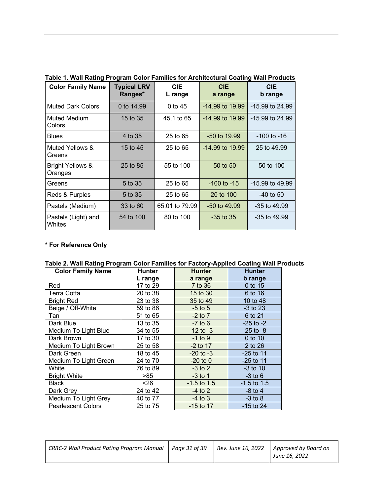| <b>Color Family Name</b>               | <b>Typical LRV</b><br>Ranges* | <b>CIE</b><br>L range | <b>CIE</b><br>a range | <b>CIE</b><br>b range |
|----------------------------------------|-------------------------------|-----------------------|-----------------------|-----------------------|
| <b>Muted Dark Colors</b>               | 0 to 14.99                    | 0 to 45               | $-14.99$ to $19.99$   | $-15.99$ to 24.99     |
| Muted Medium<br>Colors                 | 15 to 35                      | 45.1 to 65            | $-14.99$ to 19.99     | -15.99 to 24.99       |
| <b>Blues</b>                           | 4 to 35                       | 25 to 65              | -50 to 19.99          | $-100$ to $-16$       |
| Muted Yellows &<br>Greens              | 15 to 45                      | 25 to 65              | $-14.99$ to $19.99$   | 25 to 49.99           |
| <b>Bright Yellows &amp;</b><br>Oranges | 25 to 85                      | 55 to 100             | $-50$ to $50$         | 50 to 100             |
| Greens                                 | 5 to 35                       |                       | $-100$ to $-15$       | -15.99 to 49.99       |
| Reds & Purples                         | 5 to 35                       | 25 to 65              | 20 to 100             | $-40$ to 50           |
| Pastels (Medium)                       | 33 to 60                      | 65.01 to 79.99        | $-50$ to $49.99$      | $-35$ to $49.99$      |
| Pastels (Light) and<br>Whites          | 54 to 100                     | 80 to 100             | $-35$ to $35$         | $-35$ to $49.99$      |

**Table 1. Wall Rating Program Color Families for Architectural Coating Wall Products**

#### **\* For Reference Only**

|  |  | Table 2. Wall Rating Program Color Families for Factory-Applied Coating Wall Products |  |  |  |  |  |
|--|--|---------------------------------------------------------------------------------------|--|--|--|--|--|
|  |  |                                                                                       |  |  |  |  |  |

| <b>Color Family Name</b>  | <b>Hunter</b>          | <b>Hunter</b> | <b>Hunter</b> |
|---------------------------|------------------------|---------------|---------------|
|                           | L range                | a range       | b range       |
| Red                       | 17 to 29               | 7 to 36       | 0 to 15       |
| <b>Terra Cotta</b>        | 20 to 38               | 15 to 30      | 6 to 16       |
| <b>Bright Red</b>         | 23 to 38               | 35 to 49      | 10 to 48      |
| Beige / Off-White         | 59 to 86               | $-5$ to 5     | $-3$ to 23    |
| Tan                       | 51 to 65               | $-2$ to $7$   | 6 to 21       |
| Dark Blue                 | 13 to 35               | $-7$ to 6     | $-25$ to $-2$ |
| Medium To Light Blue      | 34 to 55               | $-12$ to $-3$ | $-25$ to $-8$ |
| Dark Brown                | 17 to 30               | $-1$ to 9     | 0 to 10       |
| Medium To Light Brown     | 25 to 58<br>$-2$ to 17 |               | 2 to 26       |
| Dark Green                | 18 to 45               | $-20$ to $-3$ | $-25$ to 11   |
| Medium To Light Green     | 24 to 70               | $-20$ to $0$  | $-25$ to 11   |
| White                     | 76 to 89               | $-3$ to 2     | $-3$ to 10    |
| <b>Bright White</b>       | >85                    | $-3$ to 1     | $-3$ to 6     |
| <b>Black</b>              | $26$                   | $-1.5$ to 1.5 | $-1.5$ to 1.5 |
| Dark Grey                 | 24 to 42               | $-4$ to 2     | $-8$ to 4     |
| Medium To Light Grey      | 40 to 77               | $-4$ to 3     | $-3$ to $8$   |
| <b>Pearlescent Colors</b> | 25 to 75               | $-15$ to 17   | $-15$ to 24   |

| CRRC-2 Wall Product Rating Program Manual   Page 31 of 39 |  | Rev. June 16, 2022   Approved by Board on<br>June 16, 2022 |
|-----------------------------------------------------------|--|------------------------------------------------------------|
|                                                           |  |                                                            |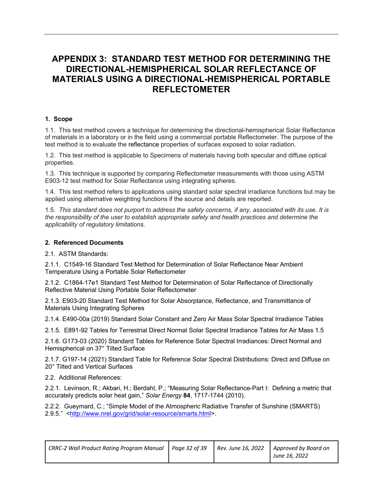### **APPENDIX 3: STANDARD TEST METHOD FOR DETERMINING THE DIRECTIONAL-HEMISPHERICAL SOLAR REFLECTANCE OF MATERIALS USING A DIRECTIONAL-HEMISPHERICAL PORTABLE REFLECTOMETER**

#### **1. Scope**

1.1. This test method covers a technique for determining the directional-hemispherical Solar Reflectance of materials in a laboratory or in the field using a commercial portable Reflectometer. The purpose of the test method is to evaluate the reflectance properties of surfaces exposed to solar radiation.

1.2. This test method is applicable to Specimens of materials having both specular and diffuse optical properties.

1.3. This technique is supported by comparing Reflectometer measurements with those using ASTM E903-12 test method for Solar Reflectance using integrating spheres.

1.4. This test method refers to applications using standard solar spectral irradiance functions but may be applied using alternative weighting functions if the source and details are reported.

1.5. *This standard does not purport to address the safety concerns, if any, associated with its use. It is the responsibility of the user to establish appropriate safety and health practices and determine the applicability of regulatory limitations.*

#### **2. Referenced Documents**

2.1. ASTM Standards:

2.1.1. C1549-16 Standard Test Method for Determination of Solar Reflectance Near Ambient Temperature Using a Portable Solar Reflectometer

2.1.2. C1864-17e1 Standard Test Method for Determination of Solar Reflectance of Directionally Reflective Material Using Portable Solar Reflectometer

2.1.3. E903-20 Standard Test Method for Solar Absorptance, Reflectance, and Transmittance of Materials Using Integrating Spheres

2.1.4. E490-00a (2019) Standard Solar Constant and Zero Air Mass Solar Spectral Irradiance Tables

2.1.5. E891-92 Tables for Terrestrial Direct Normal Solar Spectral Irradiance Tables for Air Mass 1.5

2.1.6. G173-03 (2020) Standard Tables for Reference Solar Spectral Irradiances: Direct Normal and Hemispherical on 37° Tilted Surface

2.1.7. G197-14 (2021) Standard Table for Reference Solar Spectral Distributions: Direct and Diffuse on 20° Tilted and Vertical Surfaces

2.2. Additional References:

2.2.1. Levinson, R.; Akbari, H.; Berdahl, P.; "Measuring Solar Reflectance-Part I: Defining a metric that accurately predicts solar heat gain," *Solar Energy* **84**, 1717-1744 (2010).

2.2.2. Gueymard, C.; "Simple Model of the Atmospheric Radiative Transfer of Sunshine (SMARTS) 2.9.5." <http://www.nrel.gov/grid/solar-resource/smarts.html>.

| CRRC-2 Wall Product Rating Program Manual   Page 32 of 39 |  | Rev. June 16, 2022   Approved by Board on |
|-----------------------------------------------------------|--|-------------------------------------------|
|                                                           |  | June 16, 2022                             |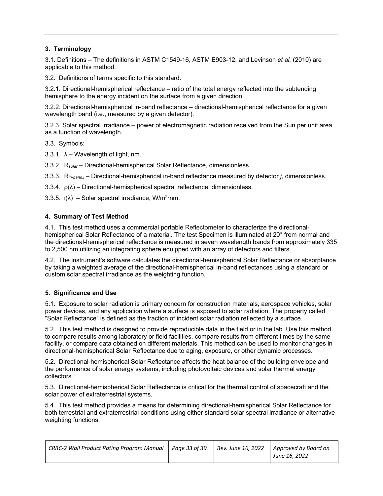#### **3. Terminology**

3.1. Definitions – The definitions in ASTM C1549-16, ASTM E903-12, and Levinson *et al.* (2010) are applicable to this method.

3.2. Definitions of terms specific to this standard:

3.2.1. Directional-hemispherical reflectance – ratio of the total energy reflected into the subtending hemisphere to the energy incident on the surface from a given direction.

3.2.2. Directional-hemispherical in-band reflectance – directional-hemispherical reflectance for a given wavelength band (i.e., measured by a given detector).

3.2.3. Solar spectral irradiance – power of electromagnetic radiation received from the Sun per unit area as a function of wavelength.

3.3. Symbols:

3.3.1.  $\lambda$  – Wavelength of light, nm.

3.3.2. R*solar* – Directional-hemispherical Solar Reflectance, dimensionless.

3.3.3. R*in-band,j* – Directional-hemispherical in-band reflectance measured by detector *j*, dimensionless.

3.3.4.  $\rho(\lambda)$  – Directional-hemispherical spectral reflectance, dimensionless.

3.3.5.  $I(\lambda)$  – Solar spectral irradiance, W/m<sup>2</sup>·nm.

#### **4. Summary of Test Method**

4.1. This test method uses a commercial portable Reflectometer to characterize the directionalhemispherical Solar Reflectance of a material. The test Specimen is illuminated at 20° from normal and the directional-hemispherical reflectance is measured in seven wavelength bands from approximately 335 to 2,500 nm utilizing an integrating sphere equipped with an array of detectors and filters.

4.2. The instrument's software calculates the directional-hemispherical Solar Reflectance or absorptance by taking a weighted average of the directional-hemispherical in-band reflectances using a standard or custom solar spectral irradiance as the weighting function.

#### **5. Significance and Use**

5.1. Exposure to solar radiation is primary concern for construction materials, aerospace vehicles, solar power devices, and any application where a surface is exposed to solar radiation. The property called "Solar Reflectance" is defined as the fraction of incident solar radiation reflected by a surface.

5.2. This test method is designed to provide reproducible data in the field or in the lab. Use this method to compare results among laboratory or field facilities, compare results from different times by the same facility, or compare data obtained on different materials. This method can be used to monitor changes in directional-hemispherical Solar Reflectance due to aging, exposure, or other dynamic processes.

5.2. Directional-hemispherical Solar Reflectance affects the heat balance of the building envelope and the performance of solar energy systems, including photovoltaic devices and solar thermal energy collectors.

5.3. Directional-hemispherical Solar Reflectance is critical for the thermal control of spacecraft and the solar power of extraterrestrial systems.

5.4. This test method provides a means for determining directional-hemispherical Solar Reflectance for both terrestrial and extraterrestrial conditions using either standard solar spectral irradiance or alternative weighting functions.

| CRRC-2 Wall Product Rating Program Manual   Page 33 of 39 |  | Rev. June 16, 2022   Approved by Board on |
|-----------------------------------------------------------|--|-------------------------------------------|
|                                                           |  | June 16, 2022                             |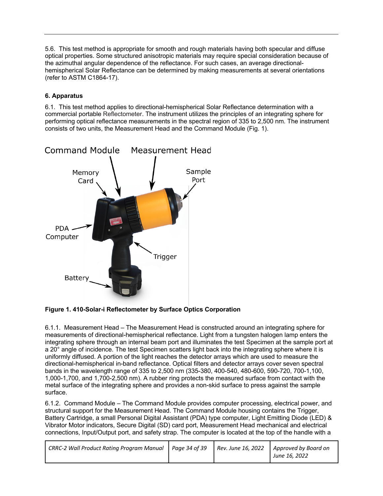5.6. This test method is appropriate for smooth and rough materials having both specular and diffuse optical properties. Some structured anisotropic materials may require special consideration because of the azimuthal angular dependence of the reflectance. For such cases, an average directionalhemispherical Solar Reflectance can be determined by making measurements at several orientations (refer to ASTM C1864-17).

#### **6. Apparatus**

6.1. This test method applies to directional-hemispherical Solar Reflectance determination with a commercial portable Reflectometer. The instrument utilizes the principles of an integrating sphere for performing optical reflectance measurements in the spectral region of 335 to 2,500 nm. The instrument consists of two units, the Measurement Head and the Command Module (Fig. 1).



**Figure 1. 410-Solar-i Reflectometer by Surface Optics Corporation**

6.1.1. Measurement Head – The Measurement Head is constructed around an integrating sphere for measurements of directional-hemispherical reflectance. Light from a tungsten halogen lamp enters the integrating sphere through an internal beam port and illuminates the test Specimen at the sample port at a 20° angle of incidence. The test Specimen scatters light back into the integrating sphere where it is uniformly diffused. A portion of the light reaches the detector arrays which are used to measure the directional-hemispherical in-band reflectance. Optical filters and detector arrays cover seven spectral bands in the wavelength range of 335 to 2,500 nm (335-380, 400-540, 480-600, 590-720, 700-1,100, 1,000-1,700, and 1,700-2,500 nm). A rubber ring protects the measured surface from contact with the metal surface of the integrating sphere and provides a non-skid surface to press against the sample surface.

6.1.2. Command Module – The Command Module provides computer processing, electrical power, and structural support for the Measurement Head. The Command Module housing contains the Trigger, Battery Cartridge, a small Personal Digital Assistant (PDA) type computer, Light Emitting Diode (LED) & Vibrator Motor indicators, Secure Digital (SD) card port, Measurement Head mechanical and electrical connections, Input/Output port, and safety strap. The computer is located at the top of the handle with a

| CRRC-2 Wall Product Rating Program Manual   Page 34 of 39 |  | Rev. June 16, 2022 | Approved by Board on<br>June 16, 2022 |
|-----------------------------------------------------------|--|--------------------|---------------------------------------|
|-----------------------------------------------------------|--|--------------------|---------------------------------------|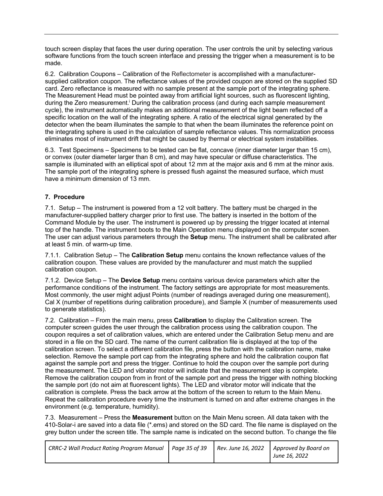touch screen display that faces the user during operation. The user controls the unit by selecting various software functions from the touch screen interface and pressing the trigger when a measurement is to be made.

6.2. Calibration Coupons – Calibration of the Reflectometer is accomplished with a manufacturersupplied calibration coupon. The reflectance values of the provided coupon are stored on the supplied SD card. Zero reflectance is measured with no sample present at the sample port of the integrating sphere. The Measurement Head must be pointed away from artificial light sources, such as fluorescent lighting, during the Zero measurement.<sup>i</sup> During the calibration process (and during each sample measurement cycle), the instrument automatically makes an additional measurement of the light beam reflected off a specific location on the wall of the integrating sphere. A ratio of the electrical signal generated by the detector when the beam illuminates the sample to that when the beam illuminates the reference point on the integrating sphere is used in the calculation of sample reflectance values. This normalization process eliminates most of instrument drift that might be caused by thermal or electrical system instabilities.

6.3. Test Specimens – Specimens to be tested can be flat, concave (inner diameter larger than 15 cm), or convex (outer diameter larger than 8 cm), and may have specular or diffuse characteristics. The sample is illuminated with an elliptical spot of about 12 mm at the major axis and 6 mm at the minor axis. The sample port of the integrating sphere is pressed flush against the measured surface, which must have a minimum dimension of 13 mm.

#### **7. Procedure**

7.1. Setup – The instrument is powered from a 12 volt battery. The battery must be charged in the manufacturer-supplied battery charger prior to first use. The battery is inserted in the bottom of the Command Module by the user. The instrument is powered up by pressing the trigger located at internal top of the handle. The instrument boots to the Main Operation menu displayed on the computer screen. The user can adjust various parameters through the **Setup** menu. The instrument shall be calibrated after at least 5 min. of warm-up time.

7.1.1. Calibration Setup – The **Calibration Setup** menu contains the known reflectance values of the calibration coupon. These values are provided by the manufacturer and must match the supplied calibration coupon.

7.1.2. Device Setup – The **Device Setup** menu contains various device parameters which alter the performance conditions of the instrument. The factory settings are appropriate for most measurements. Most commonly, the user might adjust Points (number of readings averaged during one measurement), Cal X (number of repetitions during calibration procedure), and Sample X (number of measurements used to generate statistics).

7.2. Calibration – From the main menu, press **Calibration** to display the Calibration screen. The computer screen guides the user through the calibration process using the calibration coupon. The coupon requires a set of calibration values, which are entered under the Calibration Setup menu and are stored in a file on the SD card. The name of the current calibration file is displayed at the top of the calibration screen. To select a different calibration file, press the button with the calibration name, make selection. Remove the sample port cap from the integrating sphere and hold the calibration coupon flat against the sample port and press the trigger. Continue to hold the coupon over the sample port during the measurement. The LED and vibrator motor will indicate that the measurement step is complete. Remove the calibration coupon from in front of the sample port and press the trigger with nothing blocking the sample port (do not aim at fluorescent lights). The LED and vibrator motor will indicate that the calibration is complete. Press the back arrow at the bottom of the screen to return to the Main Menu. Repeat the calibration procedure every time the instrument is turned on and after extreme changes in the environment (e.g. temperature, humidity).

7.3. Measurement – Press the **Measurement** button on the Main Menu screen. All data taken with the 410-Solar-i are saved into a data file (\*.ems) and stored on the SD card. The file name is displayed on the grey button under the screen title. The sample name is indicated on the second button. To change the file

| CRRC-2 Wall Product Rating Program Manual   Page 35 of 39 |  | Rev. June 16, 2022 $\vert$ Approved by Board on |
|-----------------------------------------------------------|--|-------------------------------------------------|
|                                                           |  | June 16, 2022                                   |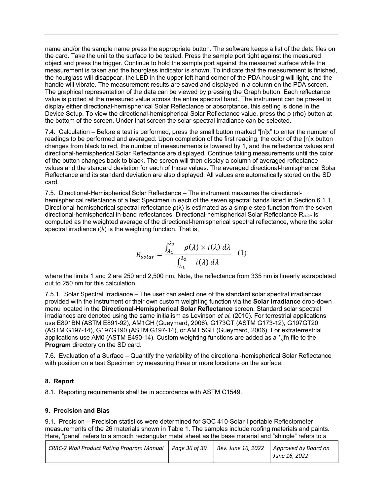name and/or the sample name press the appropriate button. The software keeps a list of the data files on the card. Take the unit to the surface to be tested. Press the sample port tight against the measured object and press the trigger. Continue to hold the sample port against the measured surface while the measurement is taken and the hourglass indicator is shown. To indicate that the measurement is finished, the hourglass will disappear, the LED in the upper left-hand corner of the PDA housing will light, and the handle will vibrate. The measurement results are saved and displayed in a column on the PDA screen. The graphical representation of the data can be viewed by pressing the Graph button. Each reflectance value is plotted at the measured value across the entire spectral band. The instrument can be pre-set to display either directional-hemispherical Solar Reflectance or absorptance, this setting is done in the Device Setup. To view the directional-hemispherical Solar Reflectance value, press the ρ (rho) button at the bottom of the screen. Under that screen the solar spectral irradiance can be selected.

7.4. Calculation – Before a test is performed, press the small button marked "[n]x" to enter the number of readings to be performed and averaged. Upon completion of the first reading, the color of the [n]x button changes from black to red, the number of measurements is lowered by 1, and the reflectance values and directional-hemispherical Solar Reflectance are displayed. Continue taking measurements until the color of the button changes back to black. The screen will then display a column of averaged reflectance values and the standard deviation for each of those values. The averaged directional-hemispherical Solar Reflectance and its standard deviation are also displayed. All values are automatically stored on the SD card.

7.5. Directional-Hemispherical Solar Reflectance – The instrument measures the directionalhemispherical reflectance of a test Specimen in each of the seven spectral bands listed in Section 6.1.1. Directional-hemispherical spectral reflectance  $\rho(\lambda)$  is estimated as a simple step function from the seven directional-hemispherical in-band reflectances. Directional-hemispherical Solar Reflectance R*solar* is computed as the weighted average of the directional-hemispherical spectral reflectance, where the solar spectral irradiance  $I(\lambda)$  is the weighting function. That is,

$$
R_{solar} = \frac{\int_{\lambda_1}^{\lambda_2} \rho(\lambda) \times i(\lambda) d\lambda}{\int_{\lambda_1}^{\lambda_2} i(\lambda) d\lambda} \quad (1)
$$

where the limits 1 and 2 are 250 and 2,500 nm. Note, the reflectance from 335 nm is linearly extrapolated out to 250 nm for this calculation.

7.5.1. Solar Spectral Irradiance – The user can select one of the standard solar spectral irradiances provided with the instrument or their own custom weighting function via the **Solar Irradiance** drop-down menu located in the **Directional-Hemispherical Solar Reflectance** screen. Standard solar spectral irradiances are denoted using the same initialism as Levinson *et al.* (2010). For terrestrial applications use E891BN (ASTM E891-92), AM1GH (Gueymard, 2006), G173GT (ASTM G173-12), G197GT20 (ASTM G197-14), G197GT90 (ASTM G197-14), or AM1.5GH (Gueymard, 2006). For extraterrestrial applications use AM0 (ASTM E490-14). Custom weighting functions are added as a \*.jfn file to the **Program** directory on the SD card.

7.6. Evaluation of a Surface – Quantify the variability of the directional-hemispherical Solar Reflectance with position on a test Specimen by measuring three or more locations on the surface.

#### **8. Report**

8.1. Reporting requirements shall be in accordance with ASTM C1549.

#### **9. Precision and Bias**

9.1. Precision – Precision statistics were determined for SOC 410-Solar-i portable Reflectometer measurements of the 26 materials shown in Table 1. The samples include roofing materials and paints. Here, "panel" refers to a smooth rectangular metal sheet as the base material and "shingle" refers to a

| <b>CRRC-2 Wall Product Rating Program Manual</b> | Paae 36 of 39 | Rev. June 16, 2022 | Approved by Board on<br>June 16, 2022 |
|--------------------------------------------------|---------------|--------------------|---------------------------------------|
|--------------------------------------------------|---------------|--------------------|---------------------------------------|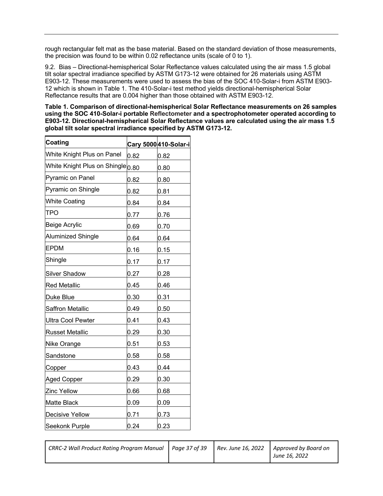rough rectangular felt mat as the base material. Based on the standard deviation of those measurements, the precision was found to be within 0.02 reflectance units (scale of 0 to 1).

9.2. Bias – Directional-hemispherical Solar Reflectance values calculated using the air mass 1.5 global tilt solar spectral irradiance specified by ASTM G173-12 were obtained for 26 materials using ASTM E903-12. These measurements were used to assess the bias of the SOC 410-Solar-i from ASTM E903- 12 which is shown in Table 1. The 410-Solar-i test method yields directional-hemispherical Solar Reflectance results that are 0.004 higher than those obtained with ASTM E903-12.

**Table 1. Comparison of directional-hemispherical Solar Reflectance measurements on 26 samples using the SOC 410-Solar-i portable Reflectometer and a spectrophotometer operated according to E903-12. Directional-hemispherical Solar Reflectance values are calculated using the air mass 1.5 global tilt solar spectral irradiance specified by ASTM G173-12.**

| <b>Coating</b>                                 |      | Cary 5000 410-Solar-i |
|------------------------------------------------|------|-----------------------|
| White Knight Plus on Panel                     | 0.82 | 0.82                  |
| White Knight Plus on Shingle <sup>1</sup> 0.80 |      | 0.80                  |
| Pyramic on Panel                               | 0.82 | 0.80                  |
| Pyramic on Shingle                             | 0.82 | 0.81                  |
| <b>White Coating</b>                           | 0.84 | 0.84                  |
| TPO                                            | 0.77 | 0.76                  |
| Beige Acrylic                                  | 0.69 | 0.70                  |
| Aluminized Shingle                             | 0.64 | 0.64                  |
| <b>EPDM</b>                                    | 0.16 | 0.15                  |
| Shingle                                        | 0.17 | 0.17                  |
| <b>Silver Shadow</b>                           | 0.27 | 0.28                  |
| <b>Red Metallic</b>                            | 0.45 | 0.46                  |
| Duke Blue                                      | 0.30 | 0.31                  |
| Saffron Metallic                               | 0.49 | 0.50                  |
| <b>Ultra Cool Pewter</b>                       | 0.41 | 0.43                  |
| <b>Russet Metallic</b>                         | 0.29 | 0.30                  |
| <b>Nike Orange</b>                             | 0.51 | 0.53                  |
| Sandstone                                      | 0.58 | 0.58                  |
| Copper                                         | 0.43 | 0.44                  |
| Aged Copper                                    | 0.29 | 0.30                  |
| <b>Zinc Yellow</b>                             | 0.66 | 0.68                  |
| Matte Black                                    | 0.09 | 0.09                  |
| <b>Decisive Yellow</b>                         | 0.71 | 0.73                  |
| Seekonk Purple                                 | 0.24 | 0.23                  |

| June 16, 2022 | CRRC-2 Wall Product Rating Program Manual   Page 37 of 39 |  |  | Rev. June 16, 2022   Approved by Board on |
|---------------|-----------------------------------------------------------|--|--|-------------------------------------------|
|---------------|-----------------------------------------------------------|--|--|-------------------------------------------|